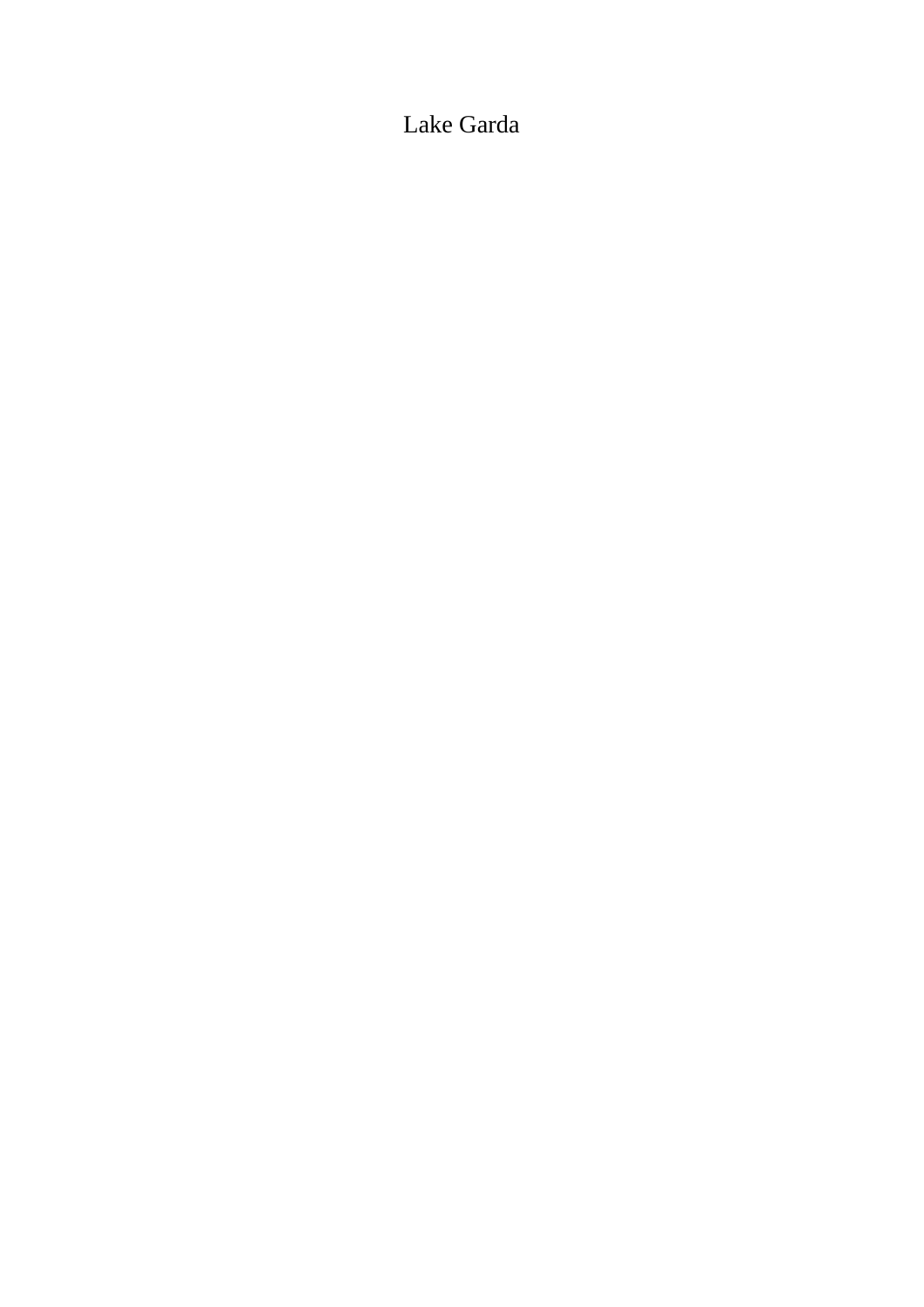# Lake Garda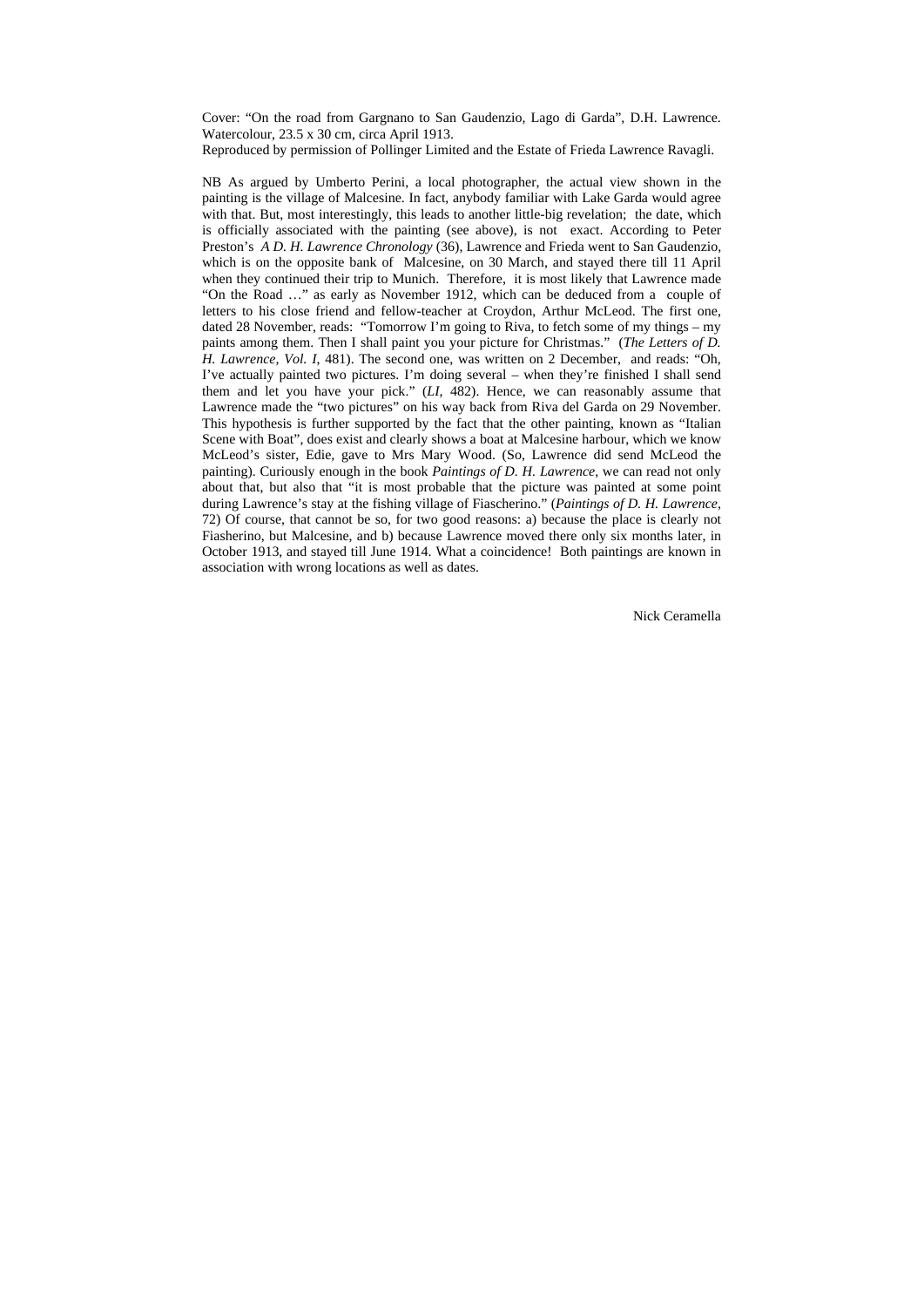Cover: "On the road from Gargnano to San Gaudenzio, Lago di Garda", D.H. Lawrence. Watercolour, 23.5 x 30 cm, circa April 1913.

Reproduced by permission of Pollinger Limited and the Estate of Frieda Lawrence Ravagli.

NB As argued by Umberto Perini, a local photographer, the actual view shown in the painting is the village of Malcesine. In fact, anybody familiar with Lake Garda would agree with that. But, most interestingly, this leads to another little-big revelation; the date, which is officially associated with the painting (see above), is not exact. According to Peter Preston's *A D. H. Lawrence Chronology* (36), Lawrence and Frieda went to San Gaudenzio, which is on the opposite bank of Malcesine, on 30 March, and stayed there till 11 April when they continued their trip to Munich. Therefore, it is most likely that Lawrence made "On the Road …" as early as November 1912, which can be deduced from a couple of letters to his close friend and fellow-teacher at Croydon, Arthur McLeod. The first one, dated 28 November, reads: "Tomorrow I'm going to Riva, to fetch some of my things – my paints among them. Then I shall paint you your picture for Christmas." (*The Letters of D. H. Lawrence, Vol. I*, 481). The second one, was written on 2 December, and reads: "Oh, I've actually painted two pictures. I'm doing several – when they're finished I shall send them and let you have your pick." (*LI*, 482). Hence, we can reasonably assume that Lawrence made the "two pictures" on his way back from Riva del Garda on 29 November. This hypothesis is further supported by the fact that the other painting, known as "Italian Scene with Boat", does exist and clearly shows a boat at Malcesine harbour, which we know McLeod's sister, Edie, gave to Mrs Mary Wood. (So, Lawrence did send McLeod the painting). Curiously enough in the book *Paintings of D. H. Lawrence*, we can read not only about that, but also that "it is most probable that the picture was painted at some point during Lawrence's stay at the fishing village of Fiascherino." (*Paintings of D. H. Lawrence*, 72) Of course, that cannot be so, for two good reasons: a) because the place is clearly not Fiasherino, but Malcesine, and b) because Lawrence moved there only six months later, in October 1913, and stayed till June 1914. What a coincidence! Both paintings are known in association with wrong locations as well as dates.

Nick Ceramella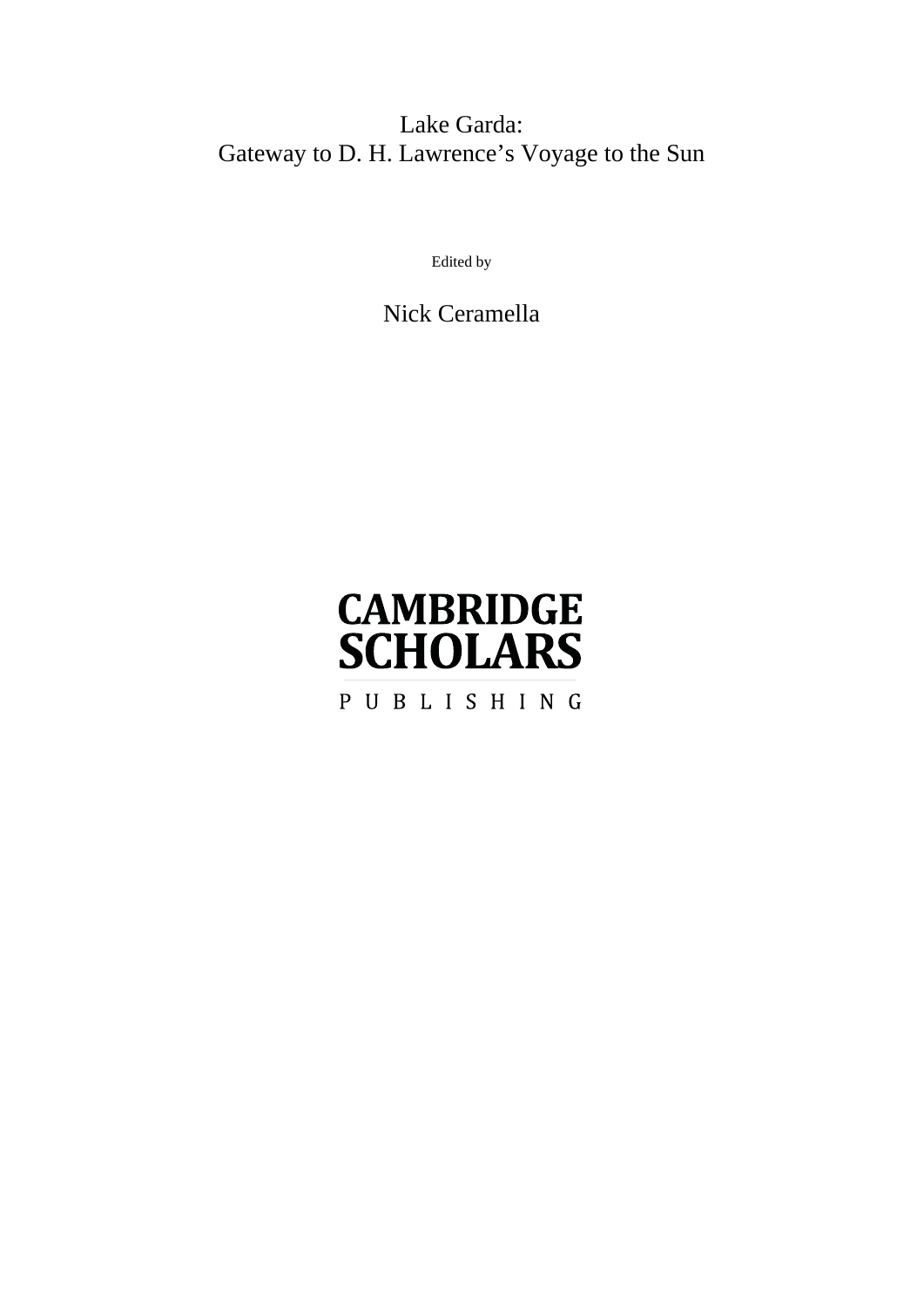# Lake Garda: Gateway to D. H. Lawrence's Voyage to the Sun

Edited by

Nick Ceramella

# **CAMBRIDGE SCHOLARS** PUBLISHING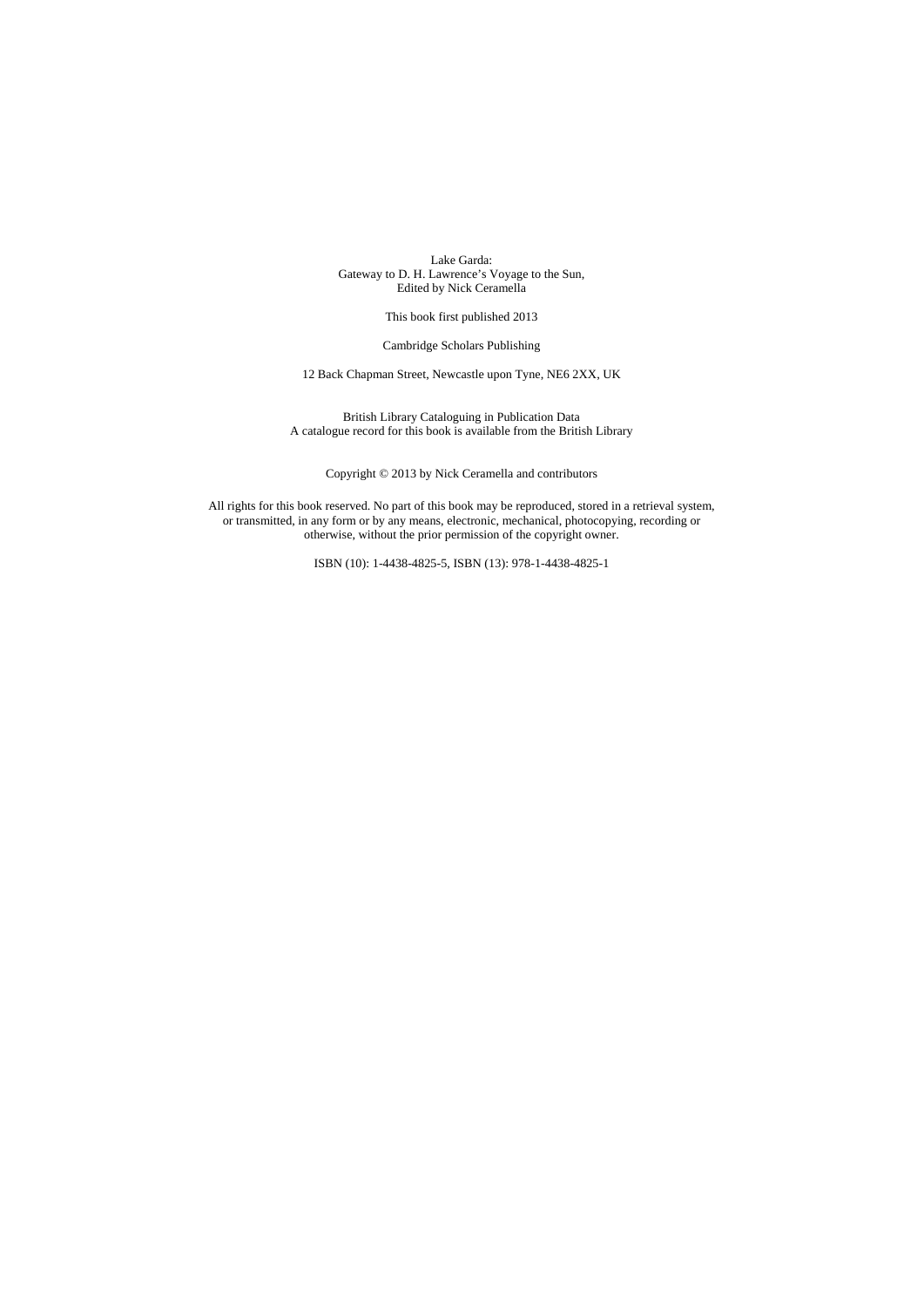Lake Garda: Gateway to D. H. Lawrence's Voyage to the Sun, Edited by Nick Ceramella

This book first published 2013

Cambridge Scholars Publishing

12 Back Chapman Street, Newcastle upon Tyne, NE6 2XX, UK

British Library Cataloguing in Publication Data A catalogue record for this book is available from the British Library

Copyright © 2013 by Nick Ceramella and contributors

All rights for this book reserved. No part of this book may be reproduced, stored in a retrieval system, or transmitted, in any form or by any means, electronic, mechanical, photocopying, recording or otherwise, without the prior permission of the copyright owner.

ISBN (10): 1-4438-4825-5, ISBN (13): 978-1-4438-4825-1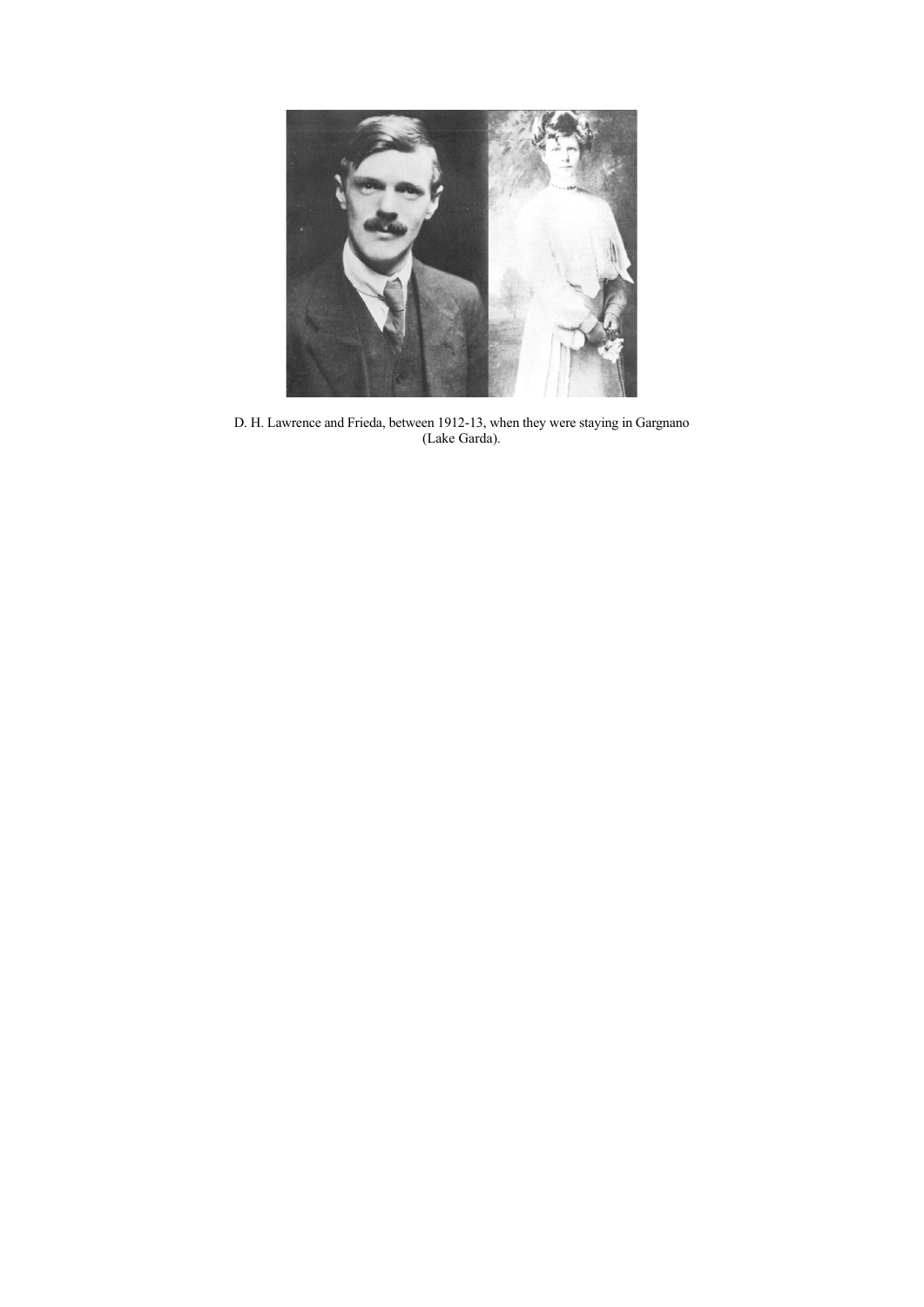

D. H. Lawrence and Frieda, between 1912-13, when they were staying in Gargnano (Lake Garda).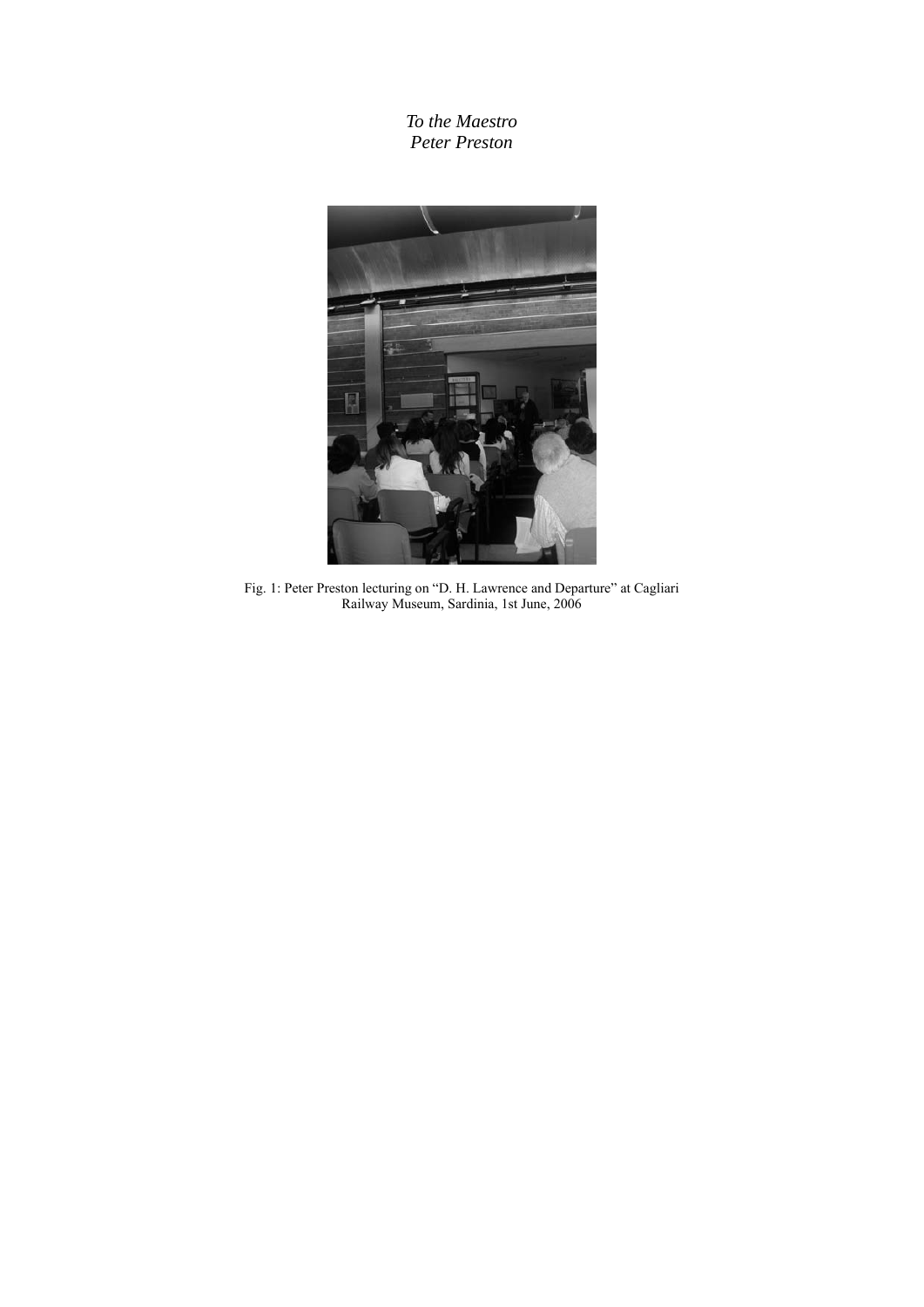*To the Maestro Peter Preston* 



Fig. 1: Peter Preston lecturing on "D. H. Lawrence and Departure" at Cagliari Railway Museum, Sardinia, 1st June, 2006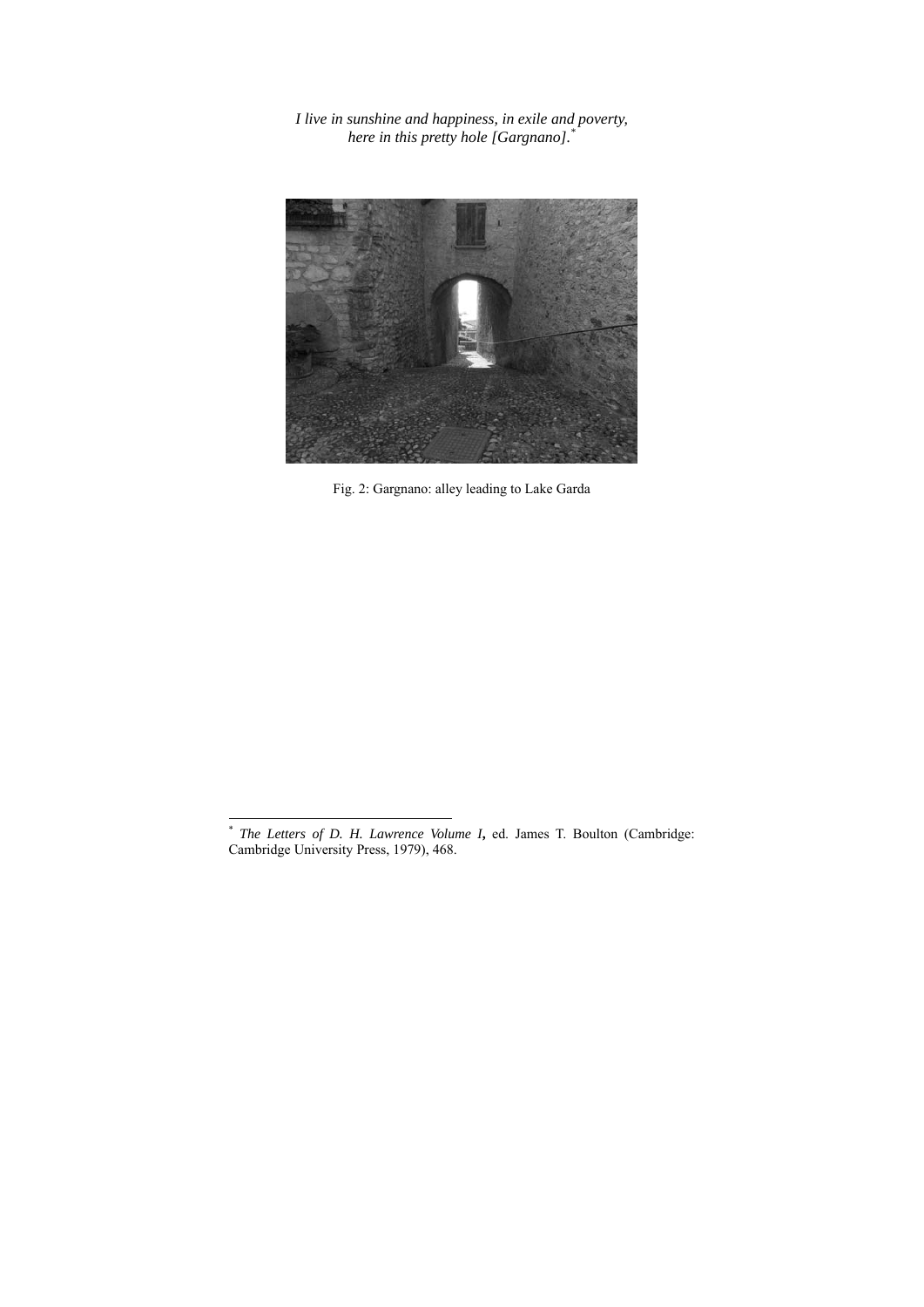*I live in sunshine and happiness, in exile and poverty, here in this pretty hole [Gargnano].\**



Fig. 2: Gargnano: alley leading to Lake Garda

l

<sup>\*</sup> *The Letters of D. H. Lawrence Volume I***,** ed. James T. Boulton (Cambridge: Cambridge University Press, 1979), 468.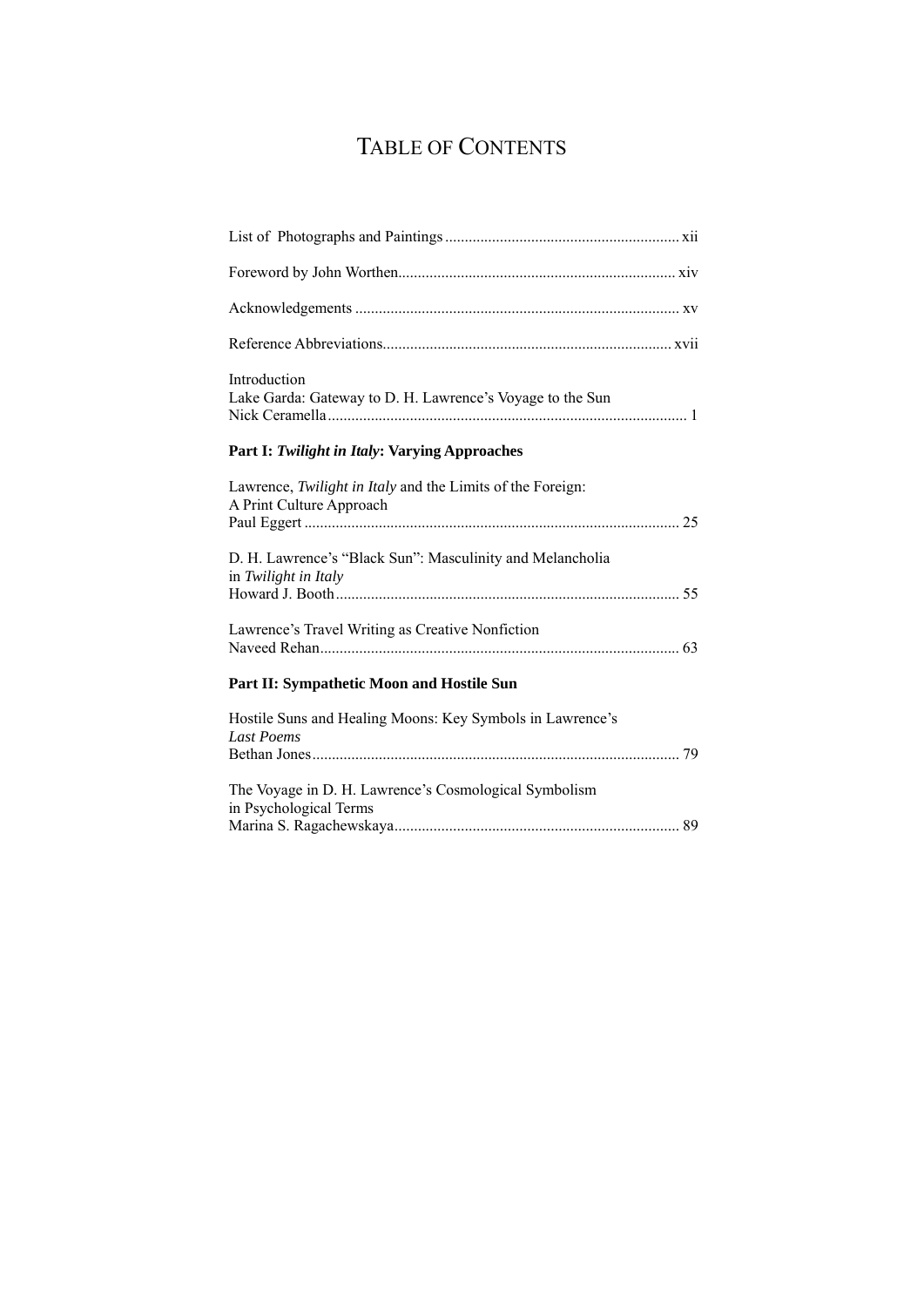# TABLE OF CONTENTS

| Introduction<br>Lake Garda: Gateway to D. H. Lawrence's Voyage to the Sun              |
|----------------------------------------------------------------------------------------|
| Part I: Twilight in Italy: Varying Approaches                                          |
| Lawrence, Twilight in Italy and the Limits of the Foreign:<br>A Print Culture Approach |
| D. H. Lawrence's "Black Sun": Masculinity and Melancholia<br>in Twilight in Italy      |
| Lawrence's Travel Writing as Creative Nonfiction                                       |
| Part II: Sympathetic Moon and Hostile Sun                                              |
| Hostile Suns and Healing Moons: Key Symbols in Lawrence's<br><b>Last Poems</b>         |
| The Voyage in D. H. Lawrence's Cosmological Symbolism<br>in Psychological Terms        |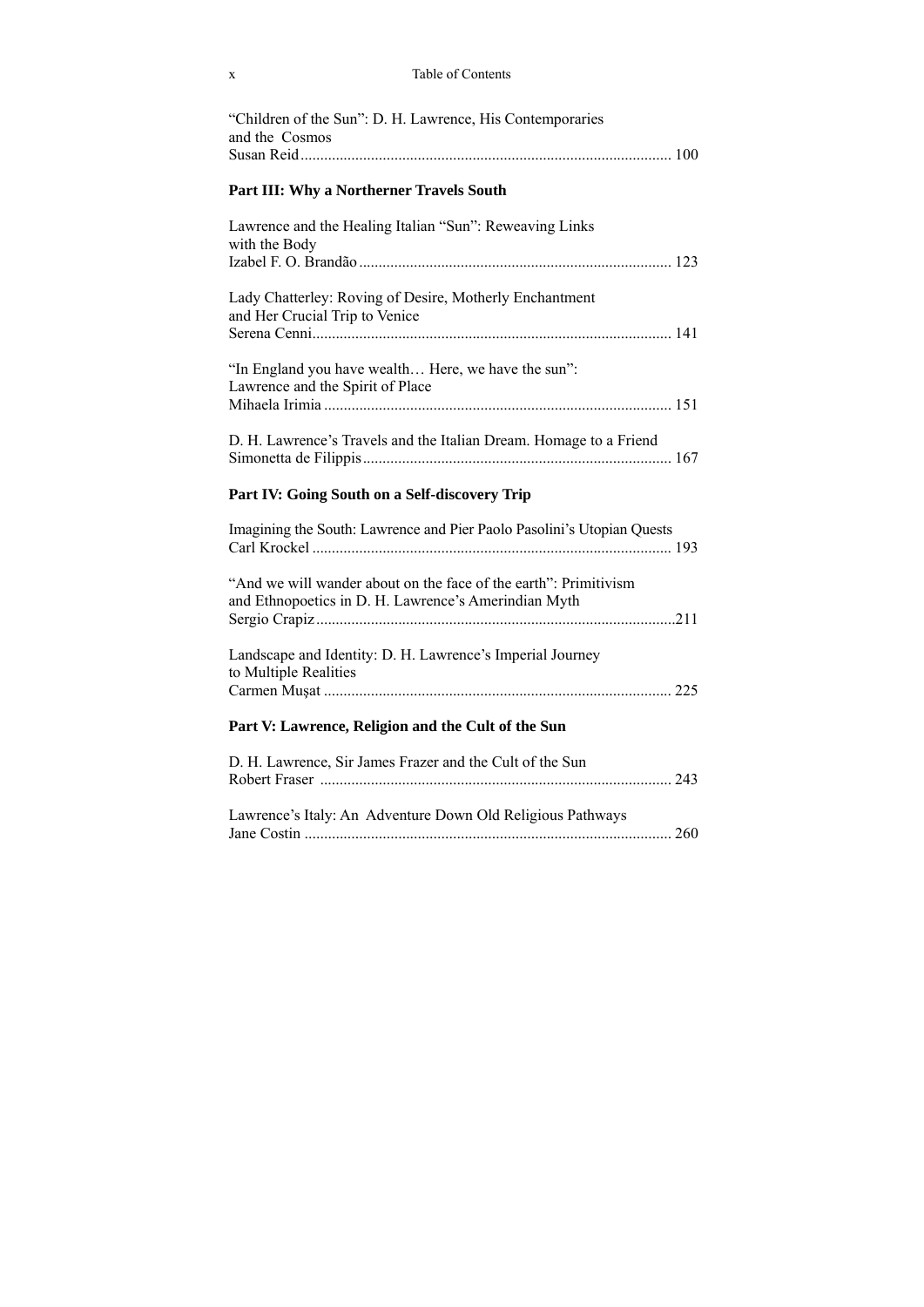| Table of Contents |
|-------------------|
|                   |

| "Children of the Sun": D. H. Lawrence, His Contemporaries<br>and the Cosmos<br>Susan Reid                                |
|--------------------------------------------------------------------------------------------------------------------------|
| Part III: Why a Northerner Travels South                                                                                 |
| Lawrence and the Healing Italian "Sun": Reweaving Links<br>with the Body                                                 |
| Lady Chatterley: Roving of Desire, Motherly Enchantment<br>and Her Crucial Trip to Venice                                |
| "In England you have wealth Here, we have the sun":<br>Lawrence and the Spirit of Place                                  |
| D. H. Lawrence's Travels and the Italian Dream. Homage to a Friend                                                       |
| Part IV: Going South on a Self-discovery Trip                                                                            |
| Imagining the South: Lawrence and Pier Paolo Pasolini's Utopian Quests                                                   |
| "And we will wander about on the face of the earth": Primitivism<br>and Ethnopoetics in D. H. Lawrence's Amerindian Myth |
| Landscape and Identity: D. H. Lawrence's Imperial Journey<br>to Multiple Realities                                       |
|                                                                                                                          |
| Part V: Lawrence, Religion and the Cult of the Sun                                                                       |
| D. H. Lawrence, Sir James Frazer and the Cult of the Sun                                                                 |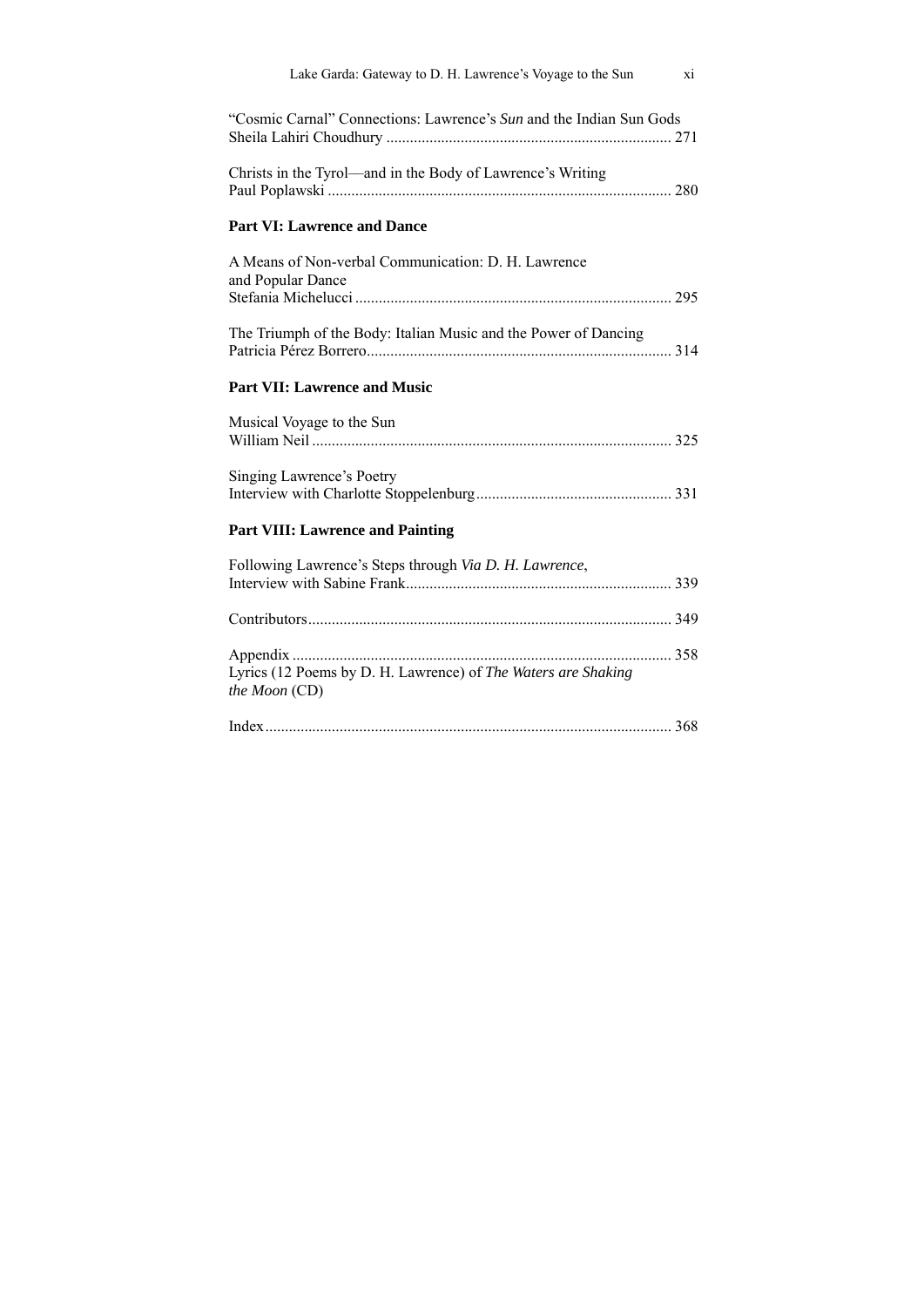| Lake Garda: Gateway to D. H. Lawrence's Voyage to the Sun                      | xi |
|--------------------------------------------------------------------------------|----|
| "Cosmic Carnal" Connections: Lawrence's Sun and the Indian Sun Gods            |    |
| Christs in the Tyrol—and in the Body of Lawrence's Writing                     |    |
| <b>Part VI: Lawrence and Dance</b>                                             |    |
| A Means of Non-verbal Communication: D. H. Lawrence<br>and Popular Dance       |    |
|                                                                                |    |
| The Triumph of the Body: Italian Music and the Power of Dancing                |    |
| <b>Part VII: Lawrence and Music</b>                                            |    |
| Musical Voyage to the Sun                                                      |    |
| <b>Singing Lawrence's Poetry</b>                                               |    |
| <b>Part VIII: Lawrence and Painting</b>                                        |    |
| Following Lawrence's Steps through Via D. H. Lawrence,                         |    |
|                                                                                |    |
| Lyrics (12 Poems by D. H. Lawrence) of The Waters are Shaking<br>the Moon (CD) |    |
|                                                                                |    |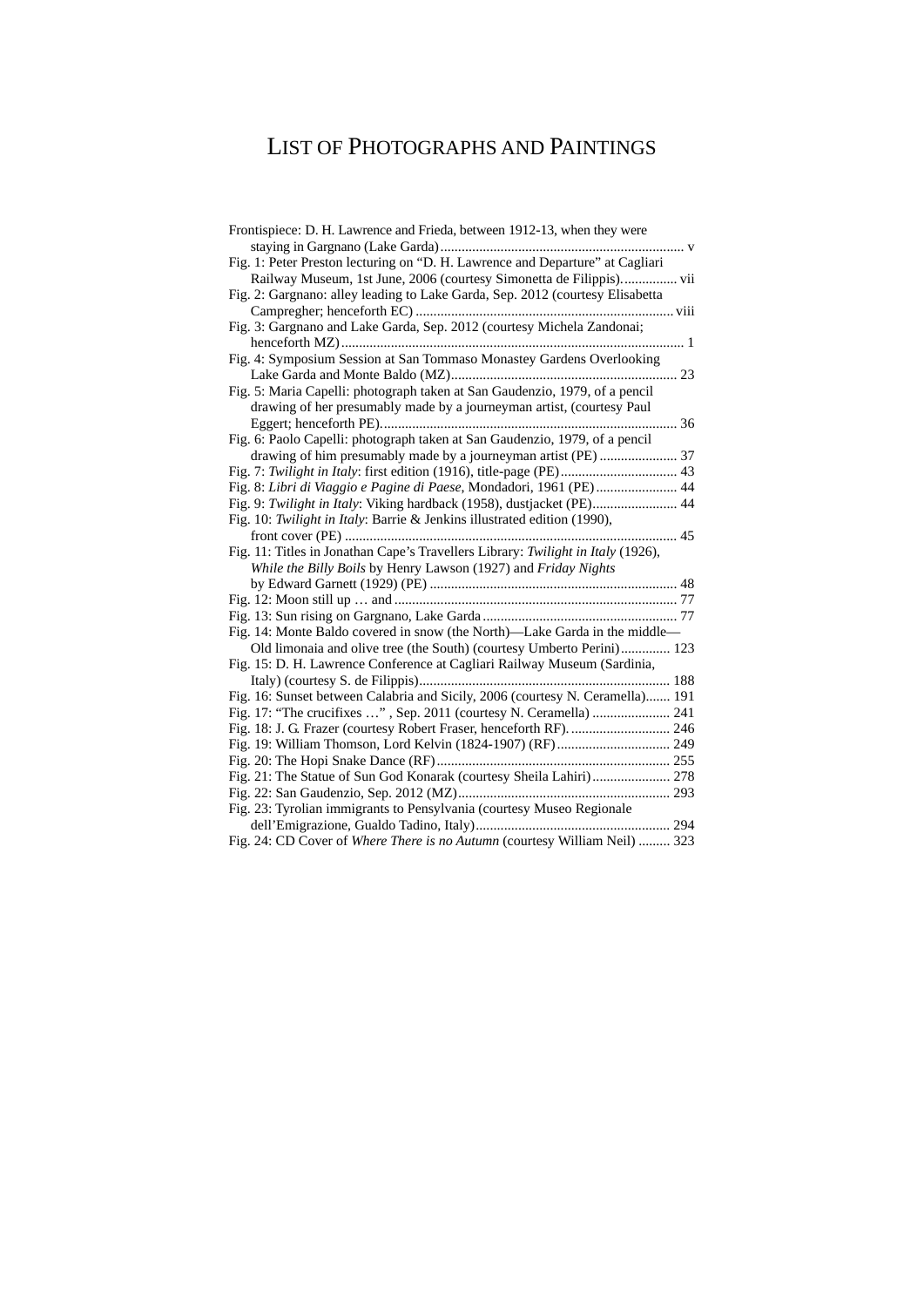# LIST OF PHOTOGRAPHS AND PAINTINGS

| Frontispiece: D. H. Lawrence and Frieda, between 1912-13, when they were         |
|----------------------------------------------------------------------------------|
|                                                                                  |
| Fig. 1: Peter Preston lecturing on "D. H. Lawrence and Departure" at Cagliari    |
| Railway Museum, 1st June, 2006 (courtesy Simonetta de Filippis) vii              |
| Fig. 2: Gargnano: alley leading to Lake Garda, Sep. 2012 (courtesy Elisabetta    |
|                                                                                  |
| Fig. 3: Gargnano and Lake Garda, Sep. 2012 (courtesy Michela Zandonai;           |
|                                                                                  |
| Fig. 4: Symposium Session at San Tommaso Monastey Gardens Overlooking            |
|                                                                                  |
| Fig. 5: Maria Capelli: photograph taken at San Gaudenzio, 1979, of a pencil      |
| drawing of her presumably made by a journeyman artist, (courtesy Paul            |
|                                                                                  |
| Fig. 6: Paolo Capelli: photograph taken at San Gaudenzio, 1979, of a pencil      |
| drawing of him presumably made by a journeyman artist (PE)  37                   |
| Fig. 7: Twilight in Italy: first edition (1916), title-page (PE) 43              |
| Fig. 8: Libri di Viaggio e Pagine di Paese, Mondadori, 1961 (PE) 44              |
| Fig. 9: Twilight in Italy: Viking hardback (1958), dustjacket (PE) 44            |
| Fig. 10: Twilight in Italy: Barrie & Jenkins illustrated edition (1990),         |
| $\cdots$ 45                                                                      |
| Fig. 11: Titles in Jonathan Cape's Travellers Library: Twilight in Italy (1926), |
| While the Billy Boils by Henry Lawson (1927) and Friday Nights                   |
|                                                                                  |
|                                                                                  |
|                                                                                  |
| Fig. 14: Monte Baldo covered in snow (the North)-Lake Garda in the middle-       |
| Old limonaia and olive tree (the South) (courtesy Umberto Perini) 123            |
| Fig. 15: D. H. Lawrence Conference at Cagliari Railway Museum (Sardinia,         |
|                                                                                  |
| Fig. 16: Sunset between Calabria and Sicily, 2006 (courtesy N. Ceramella) 191    |
| Fig. 17: "The crucifixes ", Sep. 2011 (courtesy N. Ceramella)  241               |
| Fig. 18: J. G. Frazer (courtesy Robert Fraser, henceforth RF).  246              |
| Fig. 19: William Thomson, Lord Kelvin (1824-1907) (RF) 249                       |
|                                                                                  |
| Fig. 21: The Statue of Sun God Konarak (courtesy Sheila Lahiri) 278              |
|                                                                                  |
| Fig. 23: Tyrolian immigrants to Pensylvania (courtesy Museo Regionale            |
|                                                                                  |
| Fig. 24: CD Cover of Where There is no Autumn (courtesy William Neil)  323       |
|                                                                                  |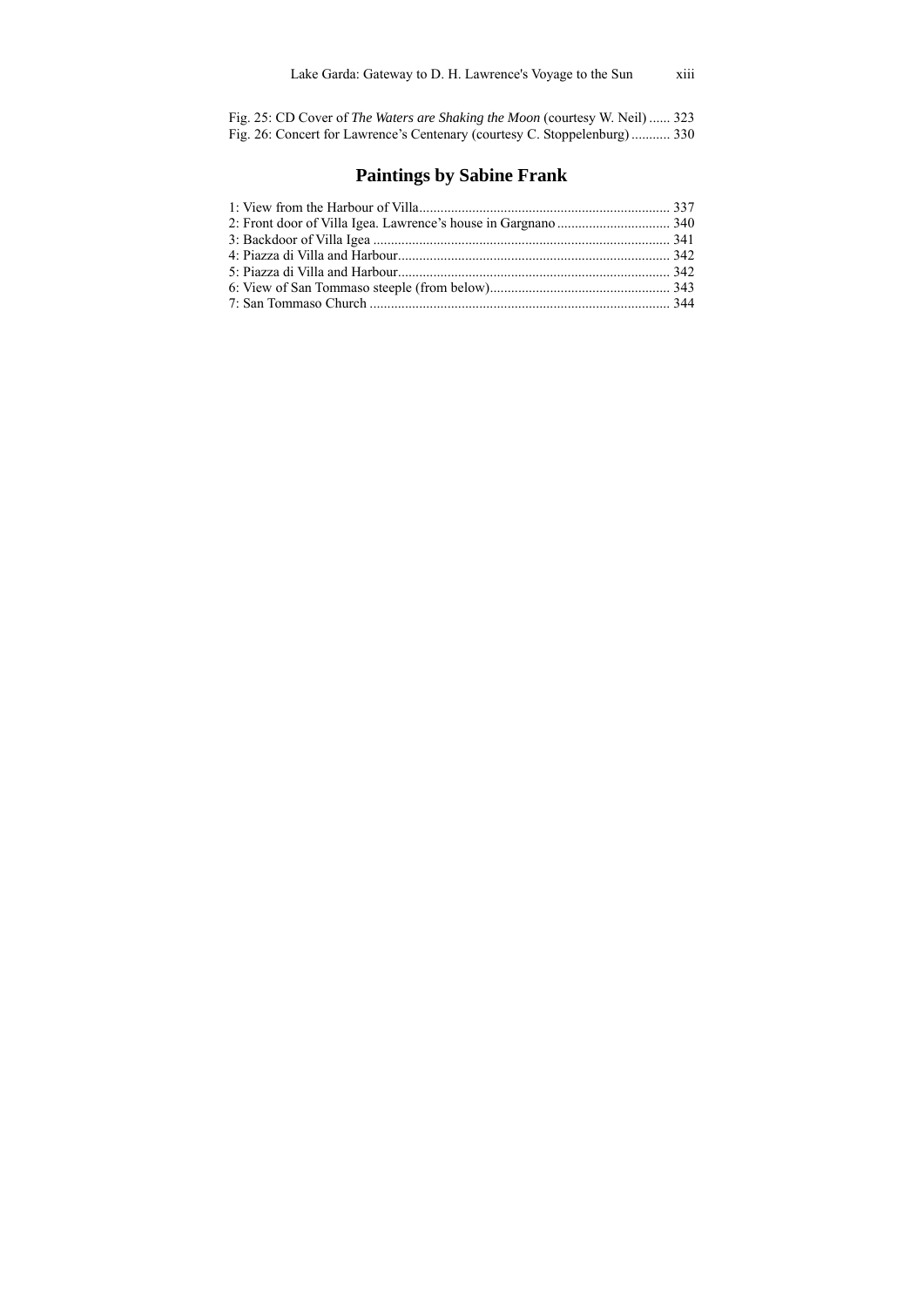Fig. 25: CD Cover of *The Waters are Shaking the Moon* (courtesy W. Neil) ...... 323 Fig. 26: Concert for Lawrence's Centenary (courtesy C. Stoppelenburg) ........... 330

### **Paintings by Sabine Frank**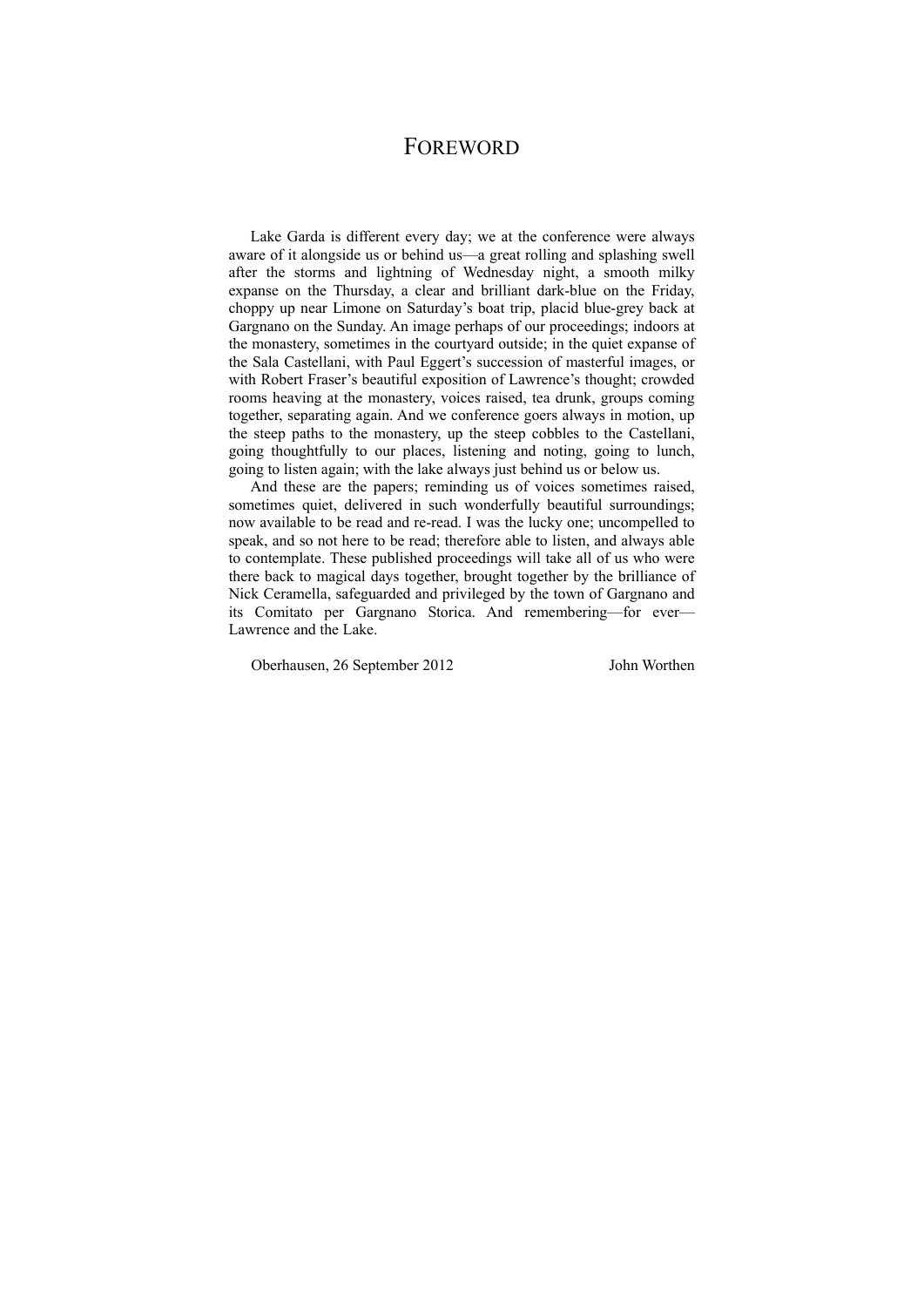### FOREWORD

Lake Garda is different every day; we at the conference were always aware of it alongside us or behind us—a great rolling and splashing swell after the storms and lightning of Wednesday night, a smooth milky expanse on the Thursday, a clear and brilliant dark-blue on the Friday, choppy up near Limone on Saturday's boat trip, placid blue-grey back at Gargnano on the Sunday. An image perhaps of our proceedings; indoors at the monastery, sometimes in the courtyard outside; in the quiet expanse of the Sala Castellani, with Paul Eggert's succession of masterful images, or with Robert Fraser's beautiful exposition of Lawrence's thought; crowded rooms heaving at the monastery, voices raised, tea drunk, groups coming together, separating again. And we conference goers always in motion, up the steep paths to the monastery, up the steep cobbles to the Castellani, going thoughtfully to our places, listening and noting, going to lunch, going to listen again; with the lake always just behind us or below us.

And these are the papers; reminding us of voices sometimes raised, sometimes quiet, delivered in such wonderfully beautiful surroundings; now available to be read and re-read. I was the lucky one; uncompelled to speak, and so not here to be read; therefore able to listen, and always able to contemplate. These published proceedings will take all of us who were there back to magical days together, brought together by the brilliance of Nick Ceramella, safeguarded and privileged by the town of Gargnano and its Comitato per Gargnano Storica. And remembering—for ever— Lawrence and the Lake.

Oberhausen, 26 September 2012 John Worthen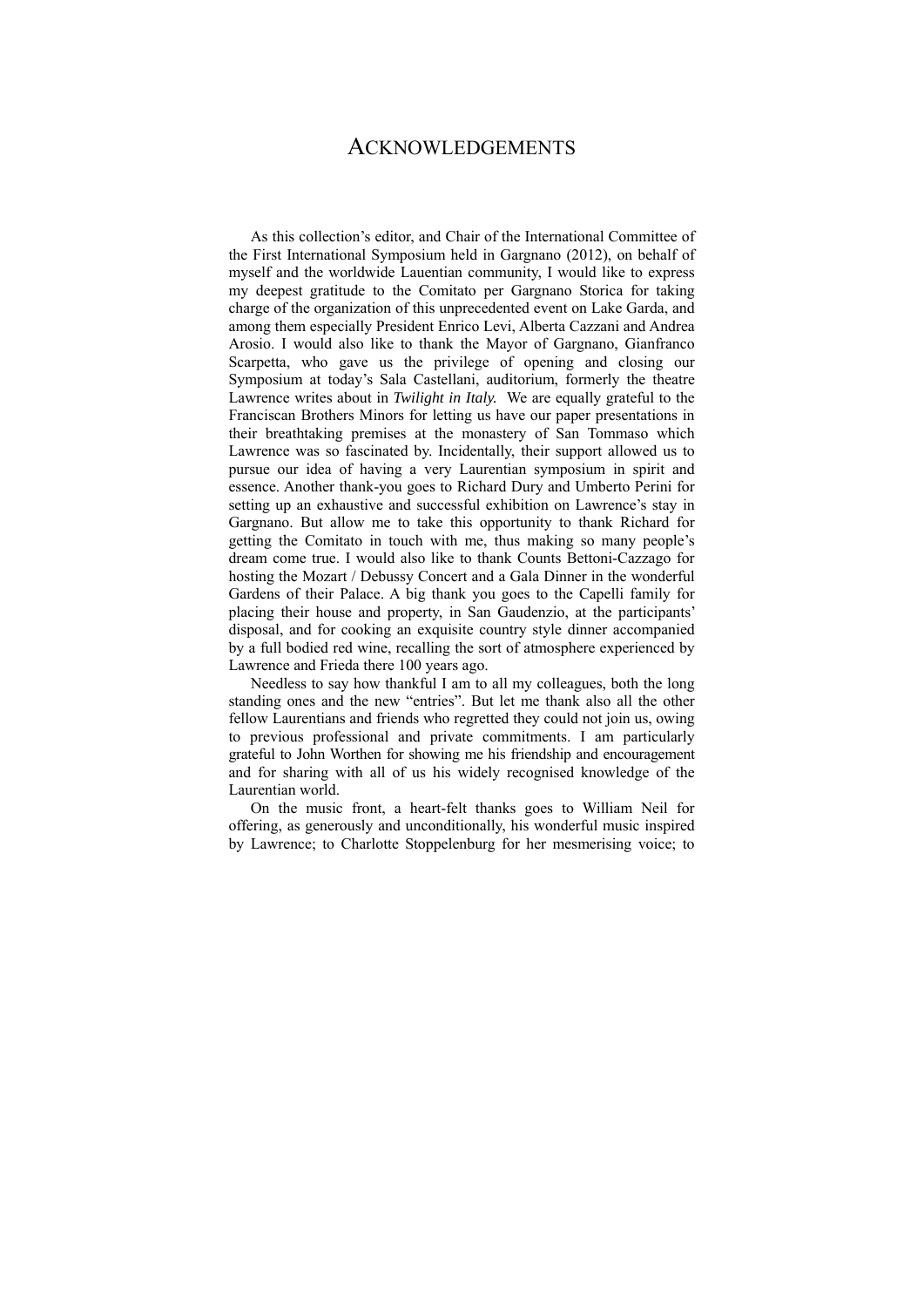### ACKNOWLEDGEMENTS

As this collection's editor, and Chair of the International Committee of the First International Symposium held in Gargnano (2012), on behalf of myself and the worldwide Lauentian community, I would like to express my deepest gratitude to the Comitato per Gargnano Storica for taking charge of the organization of this unprecedented event on Lake Garda, and among them especially President Enrico Levi, Alberta Cazzani and Andrea Arosio. I would also like to thank the Mayor of Gargnano, Gianfranco Scarpetta, who gave us the privilege of opening and closing our Symposium at today's Sala Castellani, auditorium, formerly the theatre Lawrence writes about in *Twilight in Italy.* We are equally grateful to the Franciscan Brothers Minors for letting us have our paper presentations in their breathtaking premises at the monastery of San Tommaso which Lawrence was so fascinated by. Incidentally, their support allowed us to pursue our idea of having a very Laurentian symposium in spirit and essence. Another thank-you goes to Richard Dury and Umberto Perini for setting up an exhaustive and successful exhibition on Lawrence's stay in Gargnano. But allow me to take this opportunity to thank Richard for getting the Comitato in touch with me, thus making so many people's dream come true. I would also like to thank Counts Bettoni-Cazzago for hosting the Mozart / Debussy Concert and a Gala Dinner in the wonderful Gardens of their Palace. A big thank you goes to the Capelli family for placing their house and property, in San Gaudenzio, at the participants' disposal, and for cooking an exquisite country style dinner accompanied by a full bodied red wine, recalling the sort of atmosphere experienced by Lawrence and Frieda there 100 years ago.

Needless to say how thankful I am to all my colleagues, both the long standing ones and the new "entries". But let me thank also all the other fellow Laurentians and friends who regretted they could not join us, owing to previous professional and private commitments. I am particularly grateful to John Worthen for showing me his friendship and encouragement and for sharing with all of us his widely recognised knowledge of the Laurentian world.

On the music front, a heart-felt thanks goes to William Neil for offering, as generously and unconditionally, his wonderful music inspired by Lawrence; to Charlotte Stoppelenburg for her mesmerising voice; to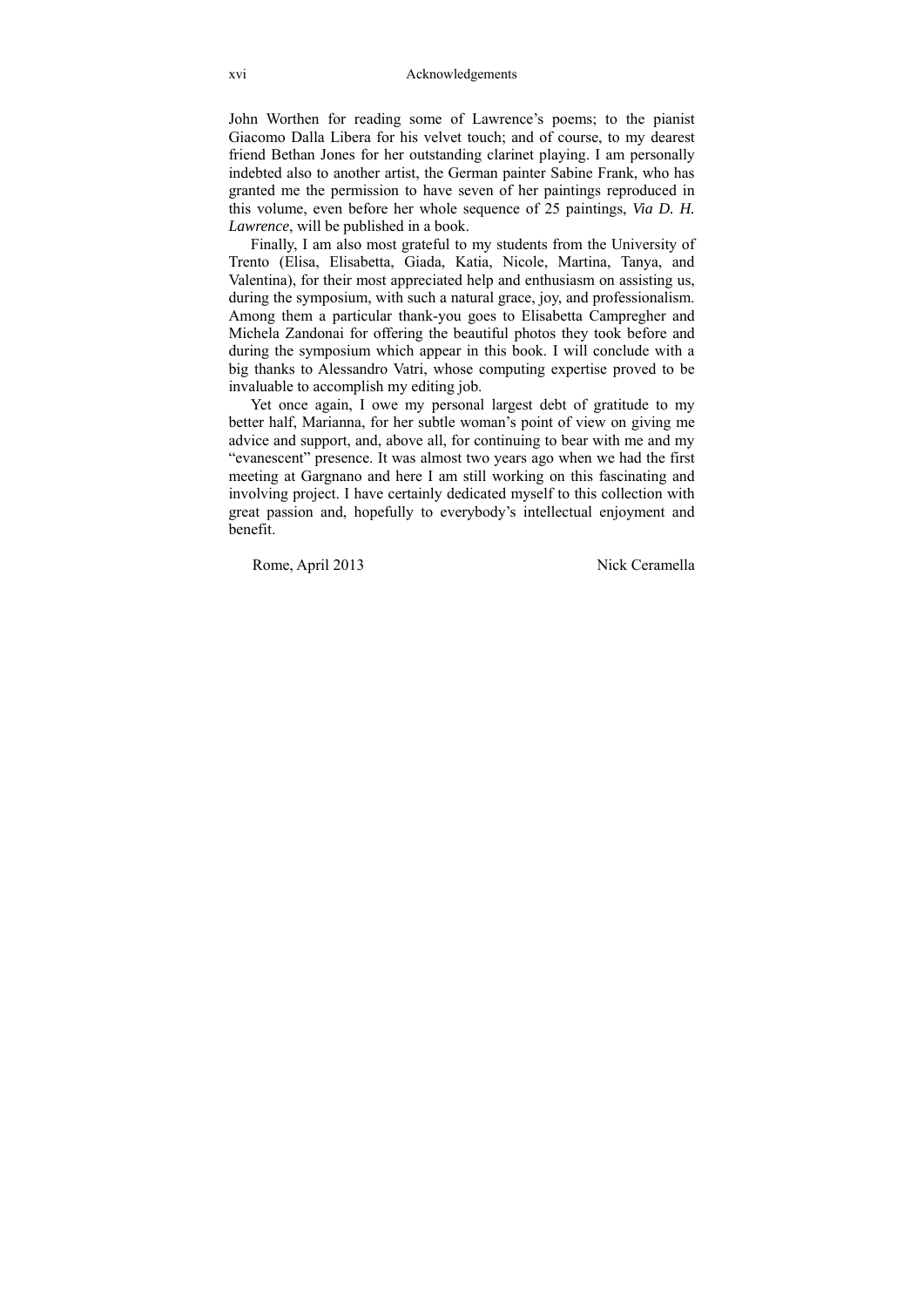John Worthen for reading some of Lawrence's poems; to the pianist Giacomo Dalla Libera for his velvet touch; and of course, to my dearest friend Bethan Jones for her outstanding clarinet playing. I am personally indebted also to another artist, the German painter Sabine Frank, who has granted me the permission to have seven of her paintings reproduced in this volume, even before her whole sequence of 25 paintings, *Via D. H. Lawrence*, will be published in a book.

Finally, I am also most grateful to my students from the University of Trento (Elisa, Elisabetta, Giada, Katia, Nicole, Martina, Tanya, and Valentina), for their most appreciated help and enthusiasm on assisting us, during the symposium, with such a natural grace, joy, and professionalism. Among them a particular thank-you goes to Elisabetta Campregher and Michela Zandonai for offering the beautiful photos they took before and during the symposium which appear in this book. I will conclude with a big thanks to Alessandro Vatri, whose computing expertise proved to be invaluable to accomplish my editing job.

Yet once again, I owe my personal largest debt of gratitude to my better half, Marianna, for her subtle woman's point of view on giving me advice and support, and, above all, for continuing to bear with me and my "evanescent" presence. It was almost two years ago when we had the first meeting at Gargnano and here I am still working on this fascinating and involving project. I have certainly dedicated myself to this collection with great passion and, hopefully to everybody's intellectual enjoyment and benefit.

Rome, April 2013 Nick Ceramella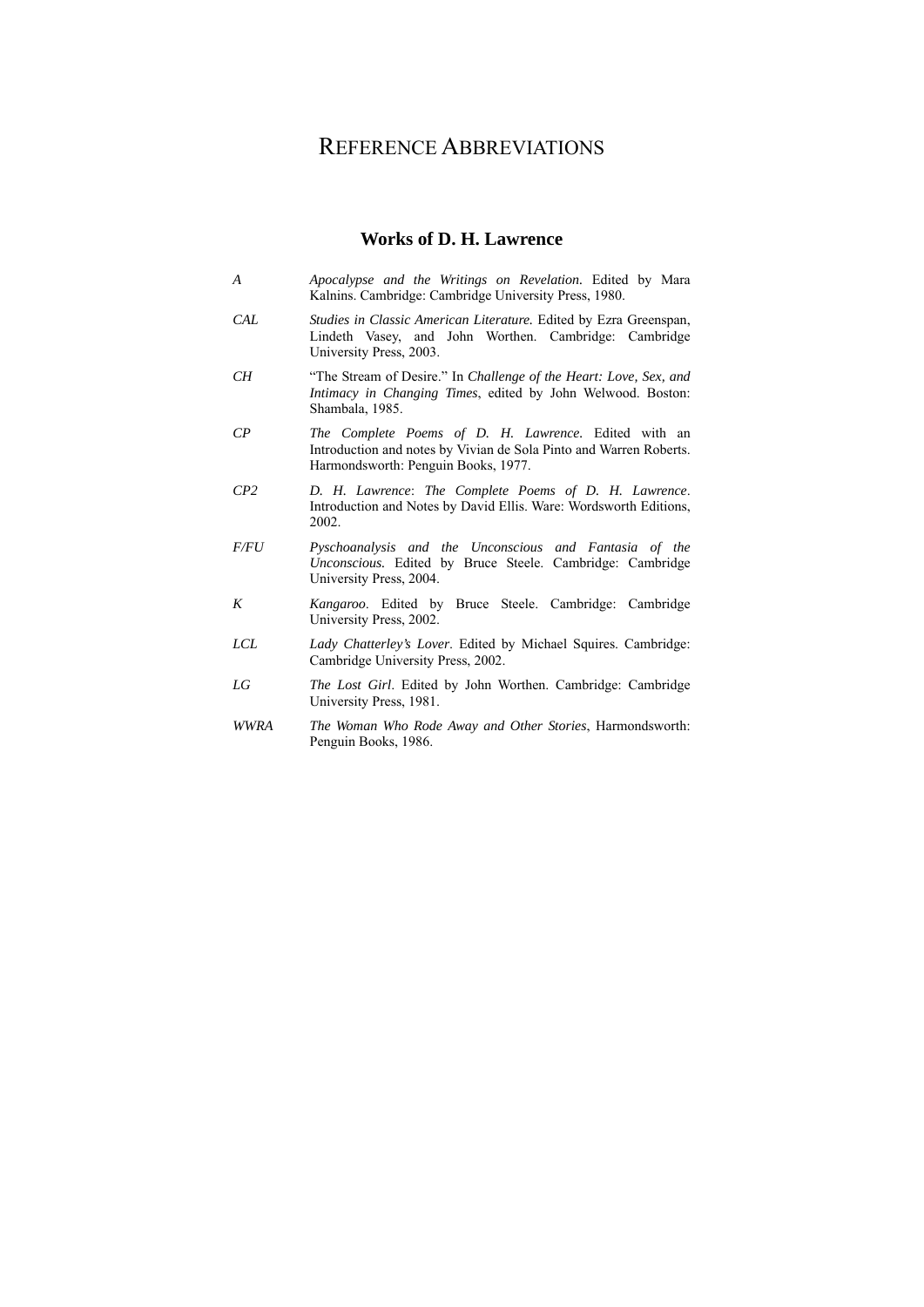### REFERENCE ABBREVIATIONS

#### **Works of D. H. Lawrence**

- *A Apocalypse and the Writings on Revelation.* Edited by Mara Kalnins. Cambridge: Cambridge University Press, 1980.
- *CAL Studies in Classic American Literature.* Edited by Ezra Greenspan, Lindeth Vasey, and John Worthen. Cambridge: Cambridge University Press, 2003.
- *CH* "The Stream of Desire." In *Challenge of the Heart: Love, Sex, and Intimacy in Changing Times*, edited by John Welwood. Boston: Shambala, 1985.
- *CP The Complete Poems of D. H. Lawrence.* Edited with an Introduction and notes by Vivian de Sola Pinto and Warren Roberts. Harmondsworth: Penguin Books, 1977.
- *CP2 D. H. Lawrence*: *The Complete Poems of D. H. Lawrence*. Introduction and Notes by David Ellis. Ware: Wordsworth Editions, 2002.
- *F/FU Pyschoanalysis and the Unconscious and Fantasia of the Unconscious.* Edited by Bruce Steele. Cambridge: Cambridge University Press, 2004.
- *K Kangaroo*. Edited by Bruce Steele. Cambridge: Cambridge University Press, 2002.
- *LCL Lady Chatterley's Lover*. Edited by Michael Squires. Cambridge: Cambridge University Press, 2002.
- *LG The Lost Girl*. Edited by John Worthen. Cambridge: Cambridge University Press, 1981.
- *WWRA The Woman Who Rode Away and Other Stories*, Harmondsworth: Penguin Books, 1986.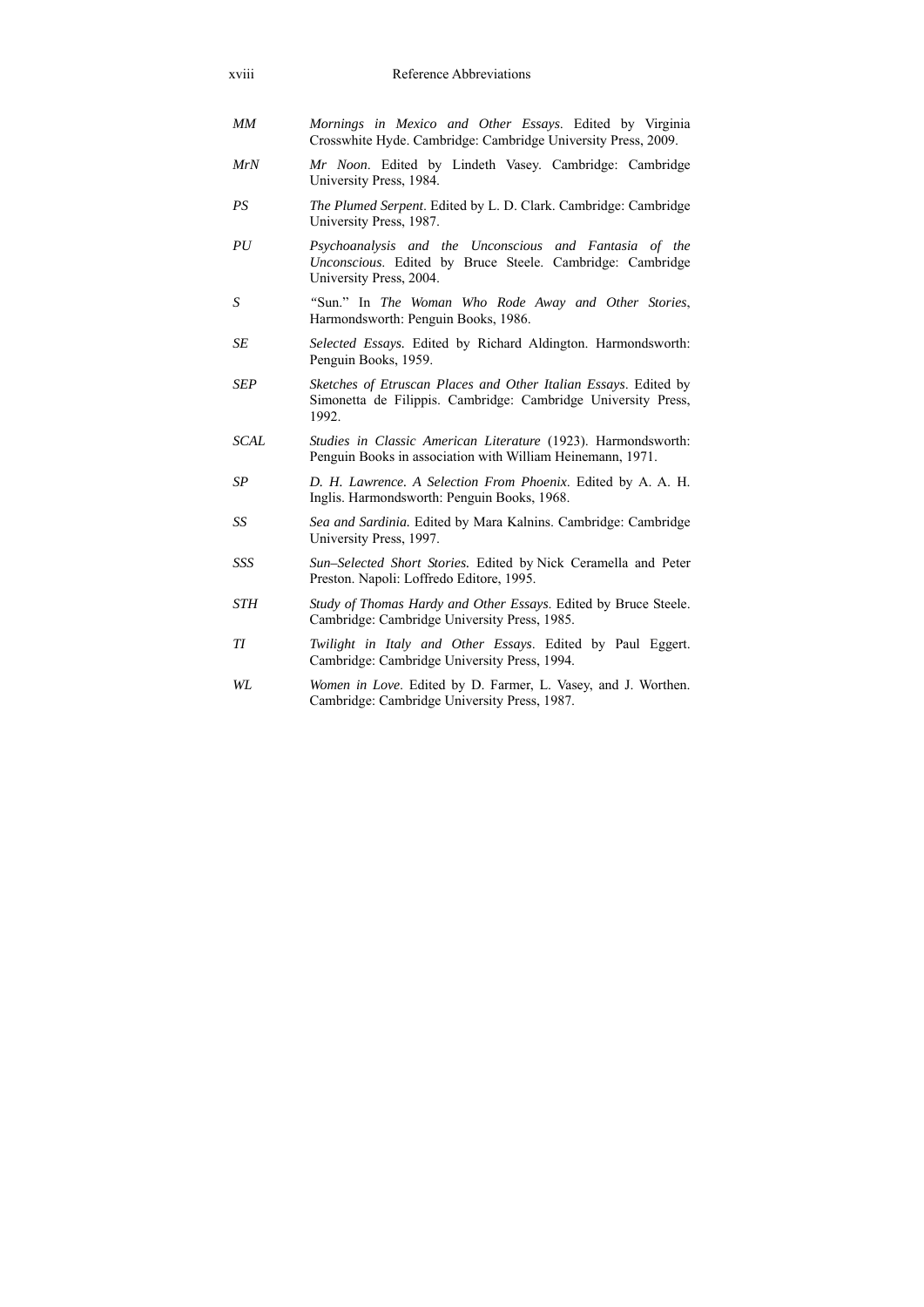| xviii            | Reference Abbreviations                                                                                                                        |
|------------------|------------------------------------------------------------------------------------------------------------------------------------------------|
| MM               | Mornings in Mexico and Other Essays. Edited by Virginia<br>Crosswhite Hyde. Cambridge: Cambridge University Press, 2009.                       |
| MrN              | Mr Noon. Edited by Lindeth Vasey. Cambridge: Cambridge<br>University Press, 1984.                                                              |
| PS               | The Plumed Serpent. Edited by L. D. Clark. Cambridge: Cambridge<br>University Press, 1987.                                                     |
| PU               | Psychoanalysis and the Unconscious and Fantasia of the<br>Unconscious. Edited by Bruce Steele. Cambridge: Cambridge<br>University Press, 2004. |
| $\boldsymbol{S}$ | "Sun." In The Woman Who Rode Away and Other Stories,<br>Harmondsworth: Penguin Books, 1986.                                                    |
| <b>SE</b>        | Selected Essays. Edited by Richard Aldington. Harmondsworth:<br>Penguin Books, 1959.                                                           |
| <b>SEP</b>       | Sketches of Etruscan Places and Other Italian Essays. Edited by<br>Simonetta de Filippis. Cambridge: Cambridge University Press,<br>1992.      |
| <b>SCAL</b>      | Studies in Classic American Literature (1923). Harmondsworth:<br>Penguin Books in association with William Heinemann, 1971.                    |
| SP               | D. H. Lawrence. A Selection From Phoenix. Edited by A. A. H.<br>Inglis. Harmondsworth: Penguin Books, 1968.                                    |
| SS               | Sea and Sardinia. Edited by Mara Kalnins. Cambridge: Cambridge<br>University Press, 1997.                                                      |
| SSS              | Sun-Selected Short Stories. Edited by Nick Ceramella and Peter<br>Preston. Napoli: Loffredo Editore, 1995.                                     |
| <b>STH</b>       | Study of Thomas Hardy and Other Essays. Edited by Bruce Steele.<br>Cambridge: Cambridge University Press, 1985.                                |
| TI               | Twilight in Italy and Other Essays. Edited by Paul Eggert.<br>Cambridge: Cambridge University Press, 1994.                                     |
| WL               | Women in Love. Edited by D. Farmer, L. Vasey, and J. Worthen.<br>Cambridge: Cambridge University Press, 1987.                                  |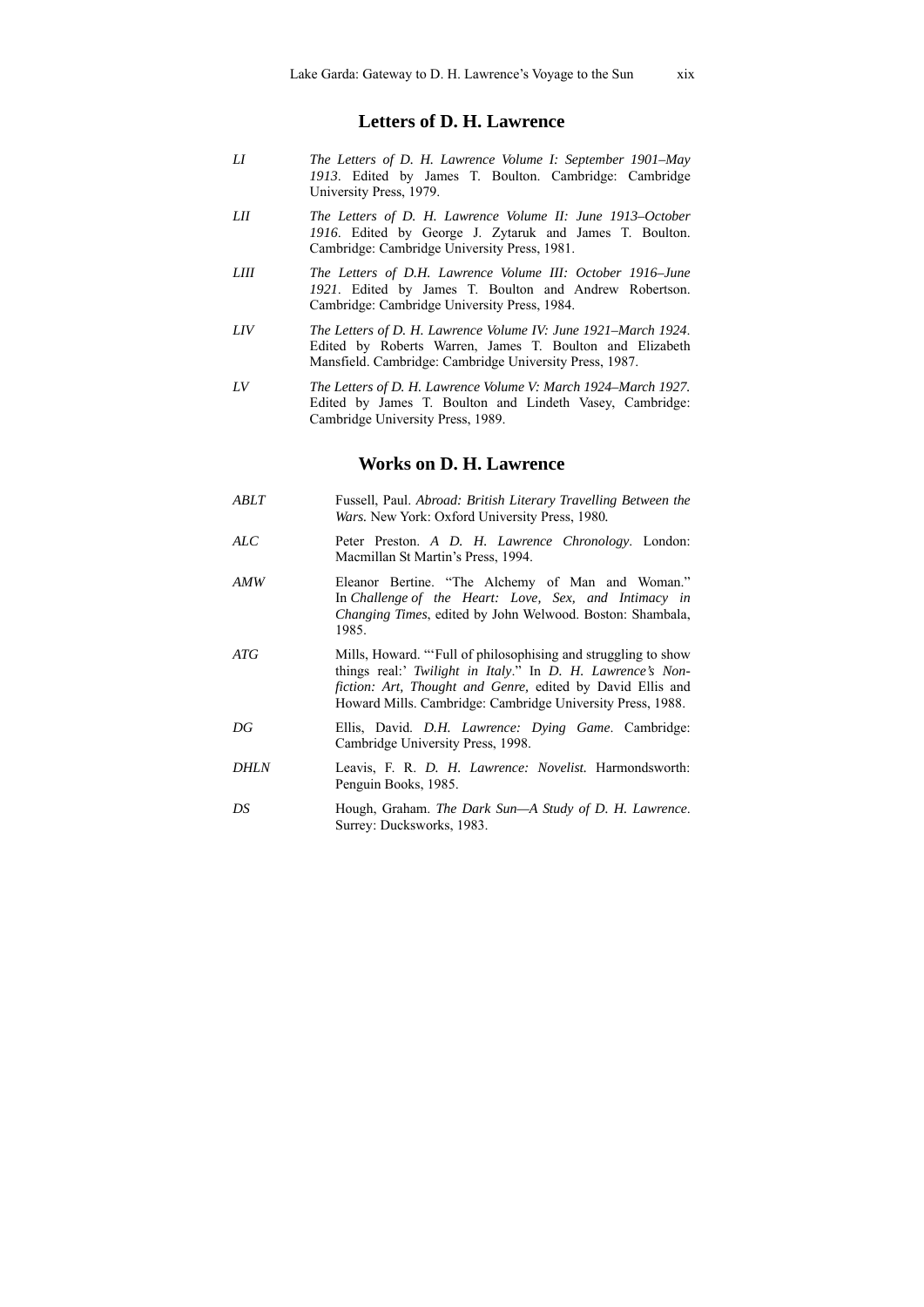#### **Letters of D. H. Lawrence**

- *LI The Letters of D. H. Lawrence Volume I: September 1901–May 1913*. Edited by James T. Boulton. Cambridge: Cambridge University Press, 1979.
- *LII The Letters of D. H. Lawrence Volume II: June 1913–October 1916*. Edited by George J. Zytaruk and James T. Boulton. Cambridge: Cambridge University Press, 1981.
- *LIII The Letters of D.H. Lawrence Volume III: October 1916–June 1921*. Edited by James T. Boulton and Andrew Robertson. Cambridge: Cambridge University Press, 1984.
- *LIV The Letters of D. H. Lawrence Volume IV: June 1921–March 1924*. Edited by Roberts Warren, James T. Boulton and Elizabeth Mansfield. Cambridge: Cambridge University Press, 1987.
- *LV The Letters of D. H. Lawrence Volume V: March 1924–March 1927.* Edited by James T. Boulton and Lindeth Vasey, Cambridge: Cambridge University Press, 1989.

#### **Works on D. H. Lawrence**

- *ABLT* Fussell, Paul. *Abroad: British Literary Travelling Between the Wars.* New York: Oxford University Press, 1980*.*
- *ALC* Peter Preston. *A D. H. Lawrence Chronology*. London: Macmillan St Martin's Press, 1994.
- *AMW* Eleanor Bertine. "The Alchemy of Man and Woman." In *Challenge of the Heart: Love, Sex, and Intimacy in Changing Times*, edited by John Welwood. Boston: Shambala, 1985.
- *ATG* Mills, Howard. "'Full of philosophising and struggling to show things real:' *Twilight in Italy*." In *D. H. Lawrence's Nonfiction: Art, Thought and Genre,* edited by David Ellis and Howard Mills. Cambridge: Cambridge University Press, 1988.
- *DG* Ellis, David. *D.H. Lawrence: Dying Game*. Cambridge: Cambridge University Press, 1998.
- *DHLN* Leavis, F. R. *D. H. Lawrence: Novelist.* Harmondsworth: Penguin Books, 1985.
- *DS* Hough, Graham. *The Dark Sun—A Study of D. H. Lawrence*. Surrey: Ducksworks, 1983.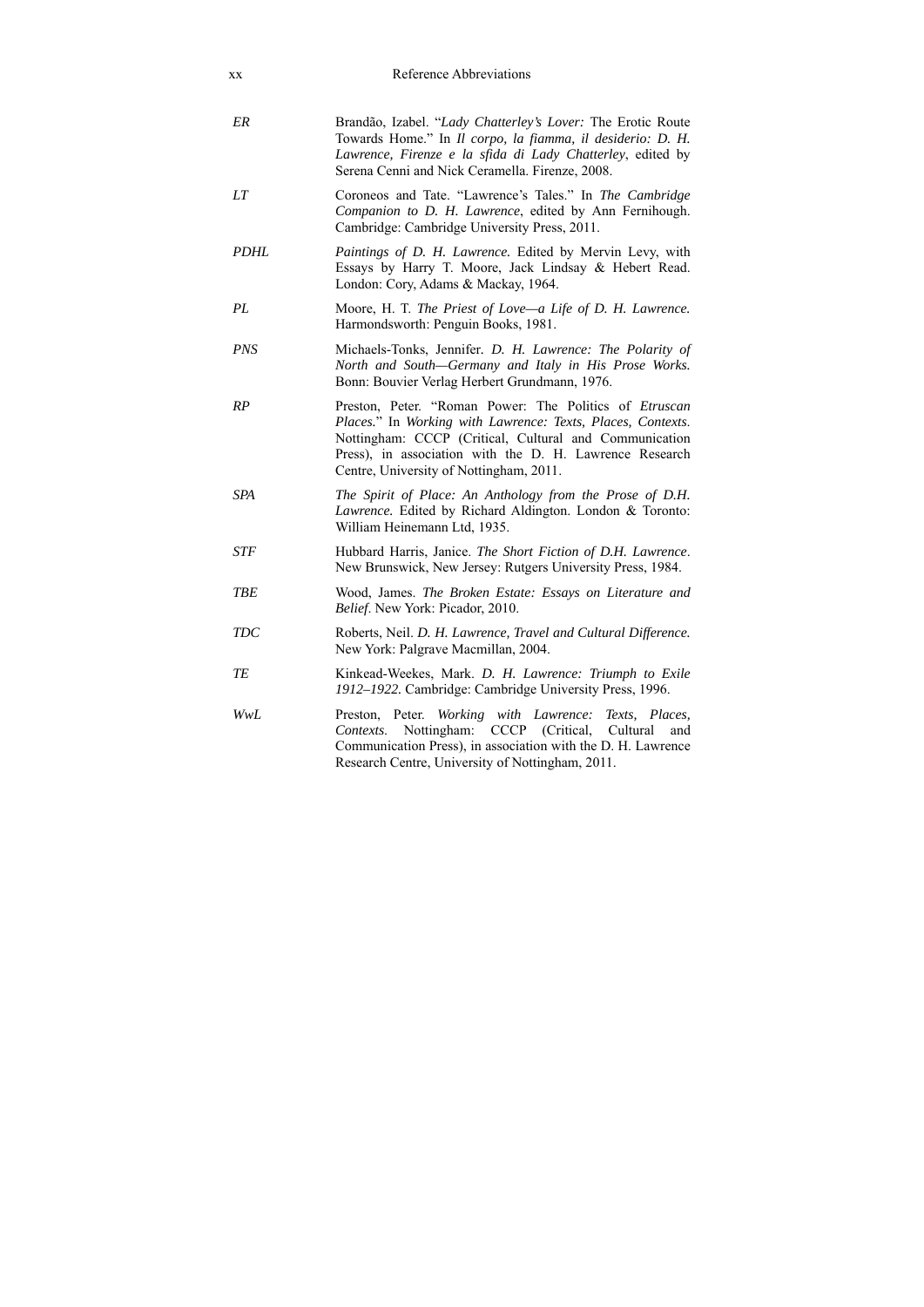| XX          | Reference Abbreviations                                                                                                                                                                                                                                                               |
|-------------|---------------------------------------------------------------------------------------------------------------------------------------------------------------------------------------------------------------------------------------------------------------------------------------|
| ER          | Brandão, Izabel. "Lady Chatterley's Lover: The Erotic Route<br>Towards Home." In Il corpo, la fiamma, il desiderio: D. H.<br>Lawrence, Firenze e la sfida di Lady Chatterley, edited by<br>Serena Cenni and Nick Ceramella. Firenze, 2008.                                            |
| LT          | Coroneos and Tate. "Lawrence's Tales." In The Cambridge<br>Companion to D. H. Lawrence, edited by Ann Fernihough.<br>Cambridge: Cambridge University Press, 2011.                                                                                                                     |
| <b>PDHL</b> | <i>Paintings of D. H. Lawrence.</i> Edited by Mervin Levy, with<br>Essays by Harry T. Moore, Jack Lindsay & Hebert Read.<br>London: Cory, Adams & Mackay, 1964.                                                                                                                       |
| PL          | Moore, H. T. The Priest of Love—a Life of D. H. Lawrence.<br>Harmondsworth: Penguin Books, 1981.                                                                                                                                                                                      |
| PNS         | Michaels-Tonks, Jennifer. D. H. Lawrence: The Polarity of<br>North and South-Germany and Italy in His Prose Works.<br>Bonn: Bouvier Verlag Herbert Grundmann, 1976.                                                                                                                   |
| RP          | Preston, Peter. "Roman Power: The Politics of Etruscan<br>Places." In Working with Lawrence: Texts, Places, Contexts.<br>Nottingham: CCCP (Critical, Cultural and Communication<br>Press), in association with the D. H. Lawrence Research<br>Centre, University of Nottingham, 2011. |
| <b>SPA</b>  | The Spirit of Place: An Anthology from the Prose of D.H.<br>Lawrence. Edited by Richard Aldington. London & Toronto:<br>William Heinemann Ltd, 1935.                                                                                                                                  |
| STF         | Hubbard Harris, Janice. The Short Fiction of D.H. Lawrence.<br>New Brunswick, New Jersey: Rutgers University Press, 1984.                                                                                                                                                             |
| <b>TBE</b>  | Wood, James. The Broken Estate: Essays on Literature and<br><i>Belief.</i> New York: Picador, 2010.                                                                                                                                                                                   |
| TDC         | Roberts, Neil. D. H. Lawrence, Travel and Cultural Difference.<br>New York: Palgrave Macmillan, 2004.                                                                                                                                                                                 |
| ТE          | Kinkead-Weekes, Mark. D. H. Lawrence: Triumph to Exile<br>1912–1922. Cambridge: Cambridge University Press, 1996.                                                                                                                                                                     |
| WwL         | Peter. Working with Lawrence:<br>Preston,<br>Texts, Places,<br>Nottingham:<br>CCCP (Critical,<br>Cultural<br>Contexts.<br>and<br>Communication Press), in association with the D. H. Lawrence<br>Research Centre, University of Nottingham, 2011.                                     |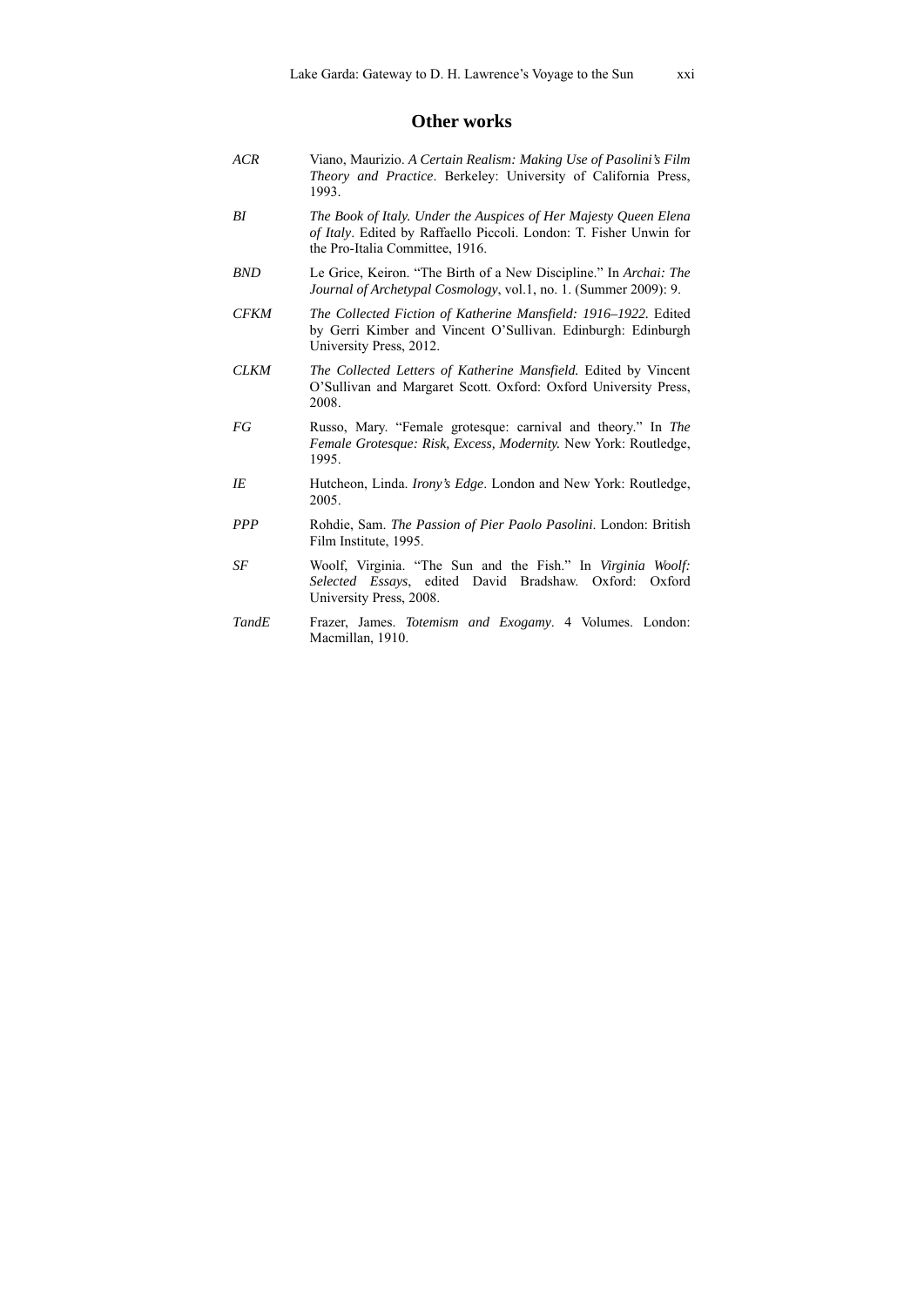#### **Other works**

*ACR* Viano, Maurizio. *A Certain Realism: Making Use of Pasolini's Film Theory and Practice*. Berkeley: University of California Press, 1993. *BI The Book of Italy. Under the Auspices of Her Majesty Queen Elena of Italy*. Edited by Raffaello Piccoli. London: T. Fisher Unwin for the Pro-Italia Committee, 1916. *BND* Le Grice, Keiron. "The Birth of a New Discipline." In *Archai: The Journal of Archetypal Cosmology*, vol.1, no. 1. (Summer 2009): 9. *CFKM The Collected Fiction of Katherine Mansfield: 1916–1922.* Edited by Gerri Kimber and Vincent O'Sullivan. Edinburgh: Edinburgh University Press, 2012. *CLKM The Collected Letters of Katherine Mansfield.* Edited by Vincent O'Sullivan and Margaret Scott. Oxford: Oxford University Press, 2008. *FG* Russo, Mary. "Female grotesque: carnival and theory." In *The Female Grotesque: Risk, Excess, Modernity.* New York: Routledge, 1995. *IE* Hutcheon, Linda. *Irony's Edge*. London and New York: Routledge, 2005. *PPP* Rohdie, Sam. *The Passion of Pier Paolo Pasolini*. London: British Film Institute, 1995. *SF* Woolf, Virginia. "The Sun and the Fish." In *Virginia Woolf: Selected Essays*, edited David Bradshaw. Oxford: Oxford University Press, 2008. *TandE* Frazer, James. *Totemism and Exogamy*. 4 Volumes. London: Macmillan, 1910.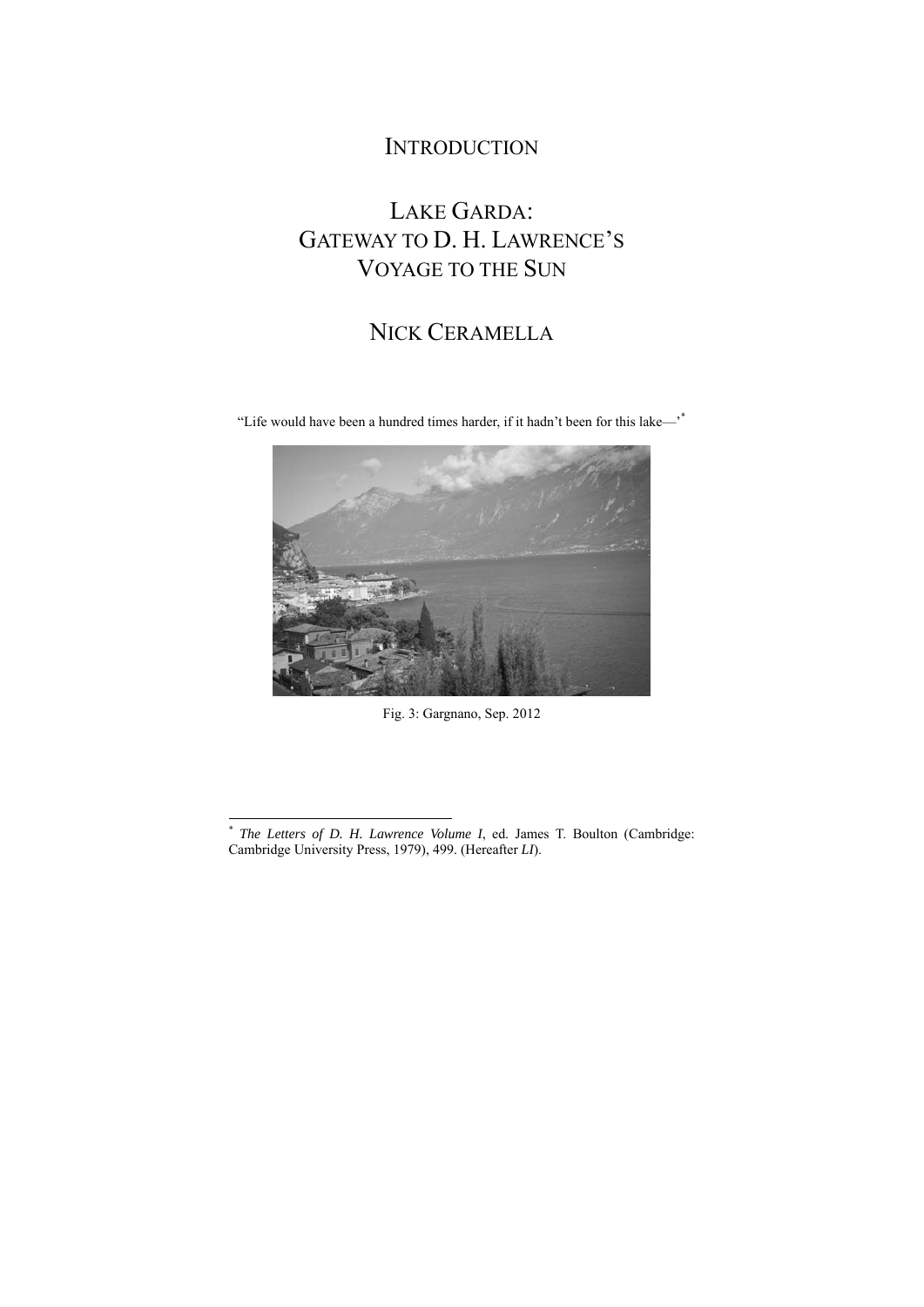### **INTRODUCTION**

# LAKE GARDA: GATEWAY TO D. H. LAWRENCE'S VOYAGE TO THE SUN

### NICK CERAMELLA

"Life would have been a hundred times harder, if it hadn't been for this lake—'\*



Fig. 3: Gargnano, Sep. 2012

l

<sup>\*</sup> *The Letters of D. H. Lawrence Volume I*, ed. James T. Boulton (Cambridge: Cambridge University Press, 1979), 499. (Hereafter *LI*).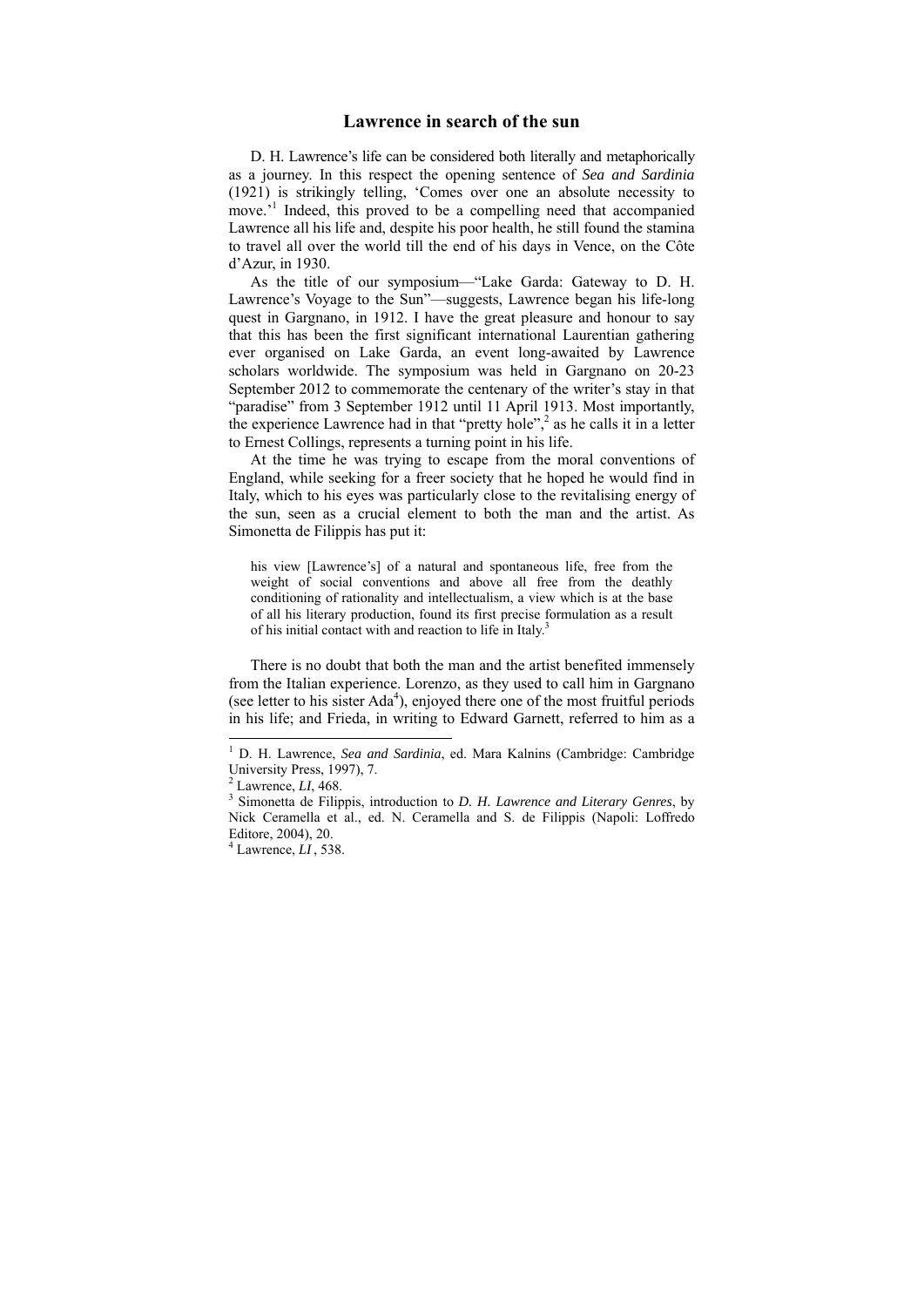#### **Lawrence in search of the sun**

D. H. Lawrence's life can be considered both literally and metaphorically as a journey. In this respect the opening sentence of *Sea and Sardinia* (1921) is strikingly telling, 'Comes over one an absolute necessity to move.<sup>1</sup> Indeed, this proved to be a compelling need that accompanied Lawrence all his life and, despite his poor health, he still found the stamina to travel all over the world till the end of his days in Vence, on the Côte d'Azur, in 1930.

As the title of our symposium—"Lake Garda: Gateway to D. H. Lawrence's Voyage to the Sun"—suggests, Lawrence began his life-long quest in Gargnano, in 1912. I have the great pleasure and honour to say that this has been the first significant international Laurentian gathering ever organised on Lake Garda, an event long-awaited by Lawrence scholars worldwide. The symposium was held in Gargnano on 20-23 September 2012 to commemorate the centenary of the writer's stay in that "paradise" from 3 September 1912 until 11 April 1913. Most importantly, the experience Lawrence had in that "pretty hole",<sup>2</sup> as he calls it in a letter to Ernest Collings, represents a turning point in his life.

At the time he was trying to escape from the moral conventions of England, while seeking for a freer society that he hoped he would find in Italy, which to his eyes was particularly close to the revitalising energy of the sun, seen as a crucial element to both the man and the artist. As Simonetta de Filippis has put it:

his view [Lawrence's] of a natural and spontaneous life, free from the weight of social conventions and above all free from the deathly conditioning of rationality and intellectualism, a view which is at the base of all his literary production, found its first precise formulation as a result of his initial contact with and reaction to life in Italy.<sup>3</sup>

There is no doubt that both the man and the artist benefited immensely from the Italian experience. Lorenzo, as they used to call him in Gargnano (see letter to his sister  $Ada<sup>4</sup>$ ), enjoyed there one of the most fruitful periods in his life; and Frieda, in writing to Edward Garnett, referred to him as a

<sup>&</sup>lt;sup>1</sup> D. H. Lawrence, *Sea and Sardinia*, ed. Mara Kalnins (Cambridge: Cambridge University Press, 1997), 7.

 $^2$  Lawrence, *LI*, 468.

Simonetta de Filippis, introduction to *D. H. Lawrence and Literary Genres*, by Nick Ceramella et al., ed. N. Ceramella and S. de Filippis (Napoli: Loffredo Editore, 2004), 20.

 $4$  Lawrence,  $LI$ , 538.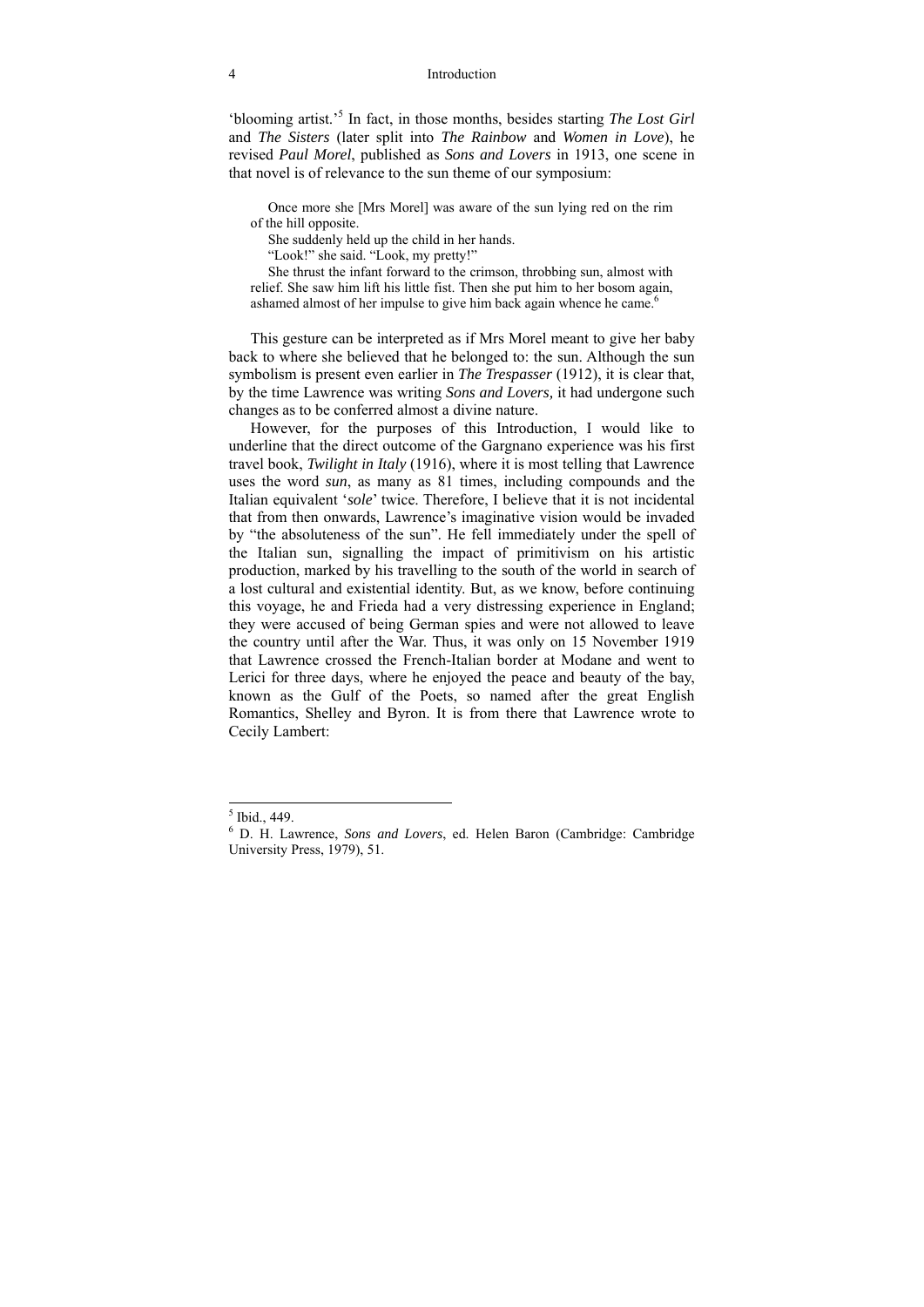#### 4 Introduction

'blooming artist.'<sup>5</sup> In fact, in those months, besides starting *The Lost Girl* and *The Sisters* (later split into *The Rainbow* and *Women in Love*), he revised *Paul Morel*, published as *Sons and Lovers* in 1913, one scene in that novel is of relevance to the sun theme of our symposium:

 Once more she [Mrs Morel] was aware of the sun lying red on the rim of the hill opposite.

She suddenly held up the child in her hands.

"Look!" she said. "Look, my pretty!"

 She thrust the infant forward to the crimson, throbbing sun, almost with relief. She saw him lift his little fist. Then she put him to her bosom again, ashamed almost of her impulse to give him back again whence he came.<sup>6</sup>

This gesture can be interpreted as if Mrs Morel meant to give her baby back to where she believed that he belonged to: the sun. Although the sun symbolism is present even earlier in *The Trespasser* (1912), it is clear that, by the time Lawrence was writing *Sons and Lovers,* it had undergone such changes as to be conferred almost a divine nature.

However, for the purposes of this Introduction, I would like to underline that the direct outcome of the Gargnano experience was his first travel book, *Twilight in Italy* (1916), where it is most telling that Lawrence uses the word *sun*, as many as 81 times, including compounds and the Italian equivalent '*sole*' twice. Therefore, I believe that it is not incidental that from then onwards, Lawrence's imaginative vision would be invaded by "the absoluteness of the sun". He fell immediately under the spell of the Italian sun, signalling the impact of primitivism on his artistic production, marked by his travelling to the south of the world in search of a lost cultural and existential identity. But, as we know, before continuing this voyage, he and Frieda had a very distressing experience in England; they were accused of being German spies and were not allowed to leave the country until after the War. Thus, it was only on 15 November 1919 that Lawrence crossed the French-Italian border at Modane and went to Lerici for three days, where he enjoyed the peace and beauty of the bay, known as the Gulf of the Poets, so named after the great English Romantics, Shelley and Byron. It is from there that Lawrence wrote to Cecily Lambert:

 5 Ibid., 449.

<sup>6</sup> D. H. Lawrence, *Sons and Lovers*, ed. Helen Baron (Cambridge: Cambridge University Press, 1979), 51.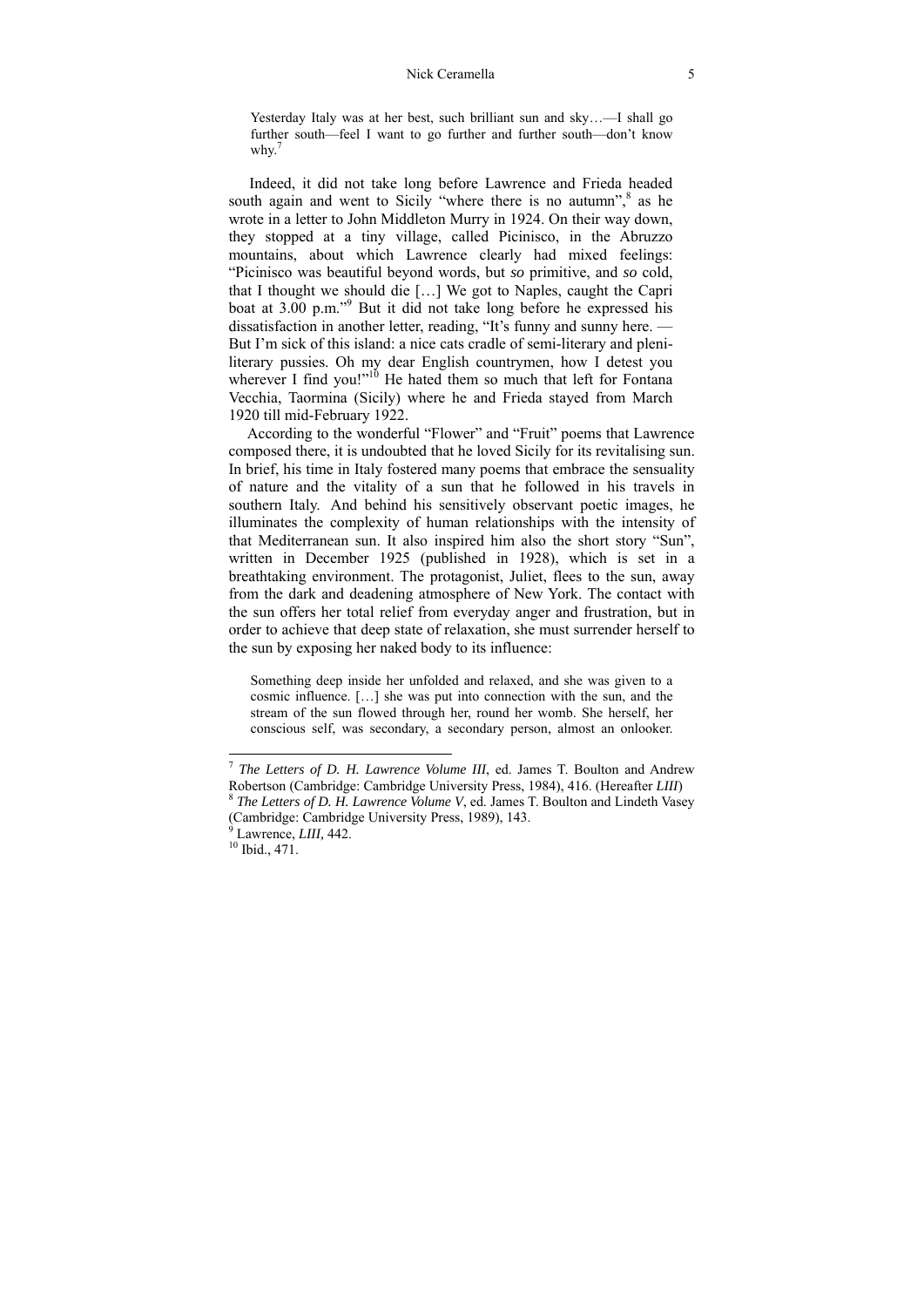Yesterday Italy was at her best, such brilliant sun and sky…—I shall go further south—feel I want to go further and further south—don't know why. $7$ 

 Indeed, it did not take long before Lawrence and Frieda headed south again and went to Sicily "where there is no autumn",<sup>8</sup> as he wrote in a letter to John Middleton Murry in 1924. On their way down, they stopped at a tiny village, called Picinisco, in the Abruzzo mountains, about which Lawrence clearly had mixed feelings: "Picinisco was beautiful beyond words, but *so* primitive, and *so* cold, that I thought we should die […] We got to Naples, caught the Capri boat at 3.00 p.m."<sup>9</sup> But it did not take long before he expressed his dissatisfaction in another letter, reading, "It's funny and sunny here. — But I'm sick of this island: a nice cats cradle of semi-literary and pleniliterary pussies. Oh my dear English countrymen, how I detest you wherever I find you!"<sup>10</sup> He hated them so much that left for Fontana Vecchia, Taormina (Sicily) where he and Frieda stayed from March 1920 till mid-February 1922.

 According to the wonderful "Flower" and "Fruit" poems that Lawrence composed there, it is undoubted that he loved Sicily for its revitalising sun. In brief, his time in Italy fostered many poems that embrace the sensuality of nature and the vitality of a sun that he followed in his travels in southern Italy. And behind his sensitively observant poetic images, he illuminates the complexity of human relationships with the intensity of that Mediterranean sun. It also inspired him also the short story "Sun", written in December 1925 (published in 1928), which is set in a breathtaking environment. The protagonist, Juliet, flees to the sun, away from the dark and deadening atmosphere of New York. The contact with the sun offers her total relief from everyday anger and frustration, but in order to achieve that deep state of relaxation, she must surrender herself to the sun by exposing her naked body to its influence:

Something deep inside her unfolded and relaxed, and she was given to a cosmic influence. […] she was put into connection with the sun, and the stream of the sun flowed through her, round her womb. She herself, her conscious self, was secondary, a secondary person, almost an onlooker.

-

<sup>&</sup>lt;sup>7</sup> *The Letters of D. H. Lawrence Volume III*, ed. James T. Boulton and Andrew Robertson (Cambridge: Cambridge University Press, 1984), 416. (Hereafter *LIII*) <sup>8</sup> The Letters of D. H. Lawrence Volume V, ed. James T. Boulton and Lindeth Vasey

<sup>(</sup>Cambridge: Cambridge University Press, 1989), 143.

<sup>&</sup>lt;sup>9</sup> Lawrence, *LIII*, 442.<sup>10</sup> Ibid., 471.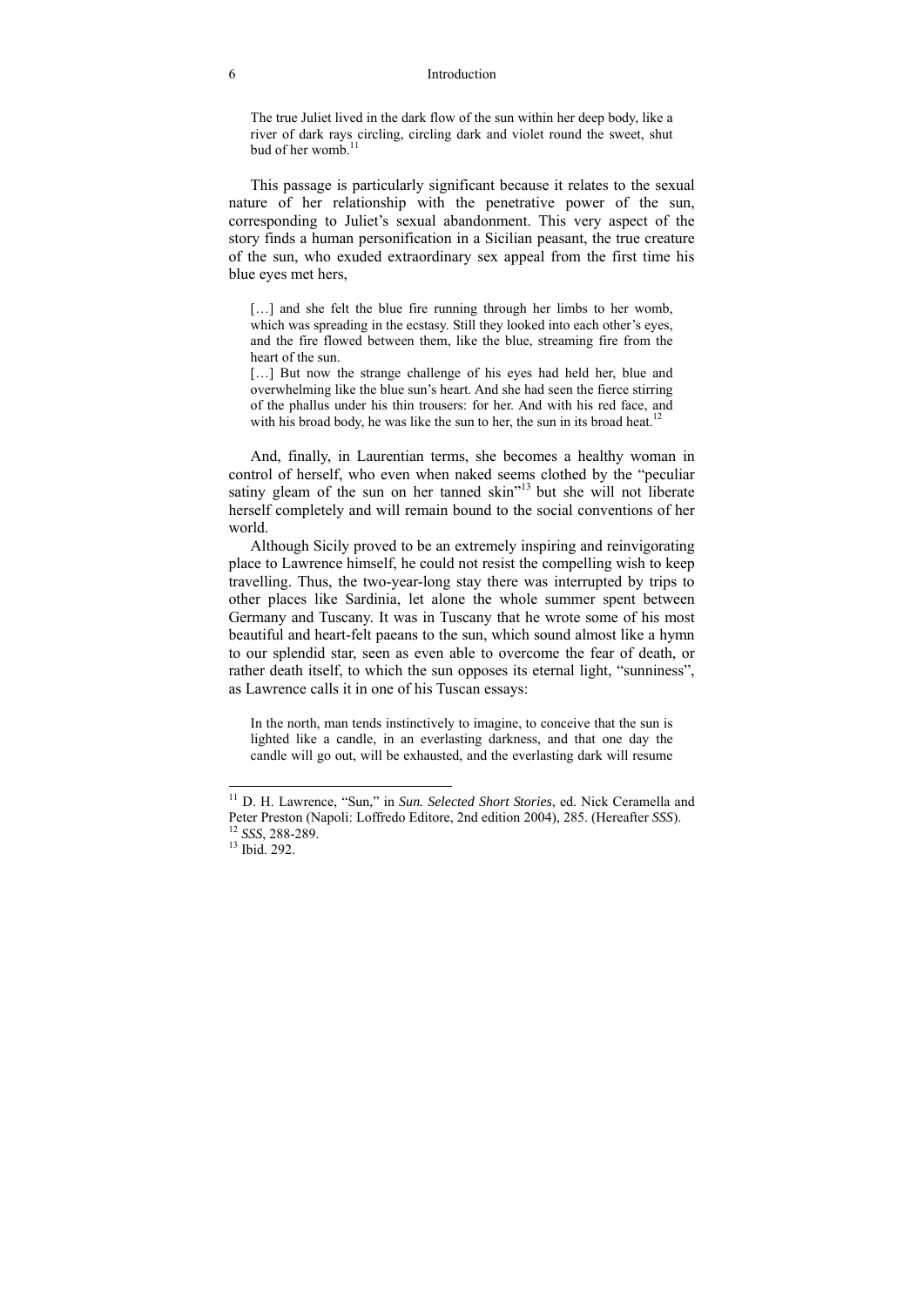#### 6 Introduction

The true Juliet lived in the dark flow of the sun within her deep body, like a river of dark rays circling, circling dark and violet round the sweet, shut bud of her womb $11$ 

This passage is particularly significant because it relates to the sexual nature of her relationship with the penetrative power of the sun, corresponding to Juliet's sexual abandonment. This very aspect of the story finds a human personification in a Sicilian peasant, the true creature of the sun, who exuded extraordinary sex appeal from the first time his blue eyes met hers,

[...] and she felt the blue fire running through her limbs to her womb, which was spreading in the ecstasy. Still they looked into each other's eyes, and the fire flowed between them, like the blue, streaming fire from the heart of the sun.

[...] But now the strange challenge of his eyes had held her, blue and overwhelming like the blue sun's heart. And she had seen the fierce stirring of the phallus under his thin trousers: for her. And with his red face, and with his broad body, he was like the sun to her, the sun in its broad heat.<sup>12</sup>

And, finally, in Laurentian terms, she becomes a healthy woman in control of herself, who even when naked seems clothed by the "peculiar satiny gleam of the sun on her tanned skin"<sup>13</sup> but she will not liberate herself completely and will remain bound to the social conventions of her world.

Although Sicily proved to be an extremely inspiring and reinvigorating place to Lawrence himself, he could not resist the compelling wish to keep travelling. Thus, the two-year-long stay there was interrupted by trips to other places like Sardinia, let alone the whole summer spent between Germany and Tuscany. It was in Tuscany that he wrote some of his most beautiful and heart-felt paeans to the sun, which sound almost like a hymn to our splendid star, seen as even able to overcome the fear of death, or rather death itself, to which the sun opposes its eternal light, "sunniness", as Lawrence calls it in one of his Tuscan essays:

In the north, man tends instinctively to imagine, to conceive that the sun is lighted like a candle, in an everlasting darkness, and that one day the candle will go out, will be exhausted, and the everlasting dark will resume

-

<sup>11</sup> D. H. Lawrence, "Sun," in *Sun. Selected Short Stories*, ed. Nick Ceramella and Peter Preston (Napoli: Loffredo Editore, 2nd edition 2004), 285. (Hereafter *SSS*). 12 *SSS*, 288-289. 13 Ibid. 292.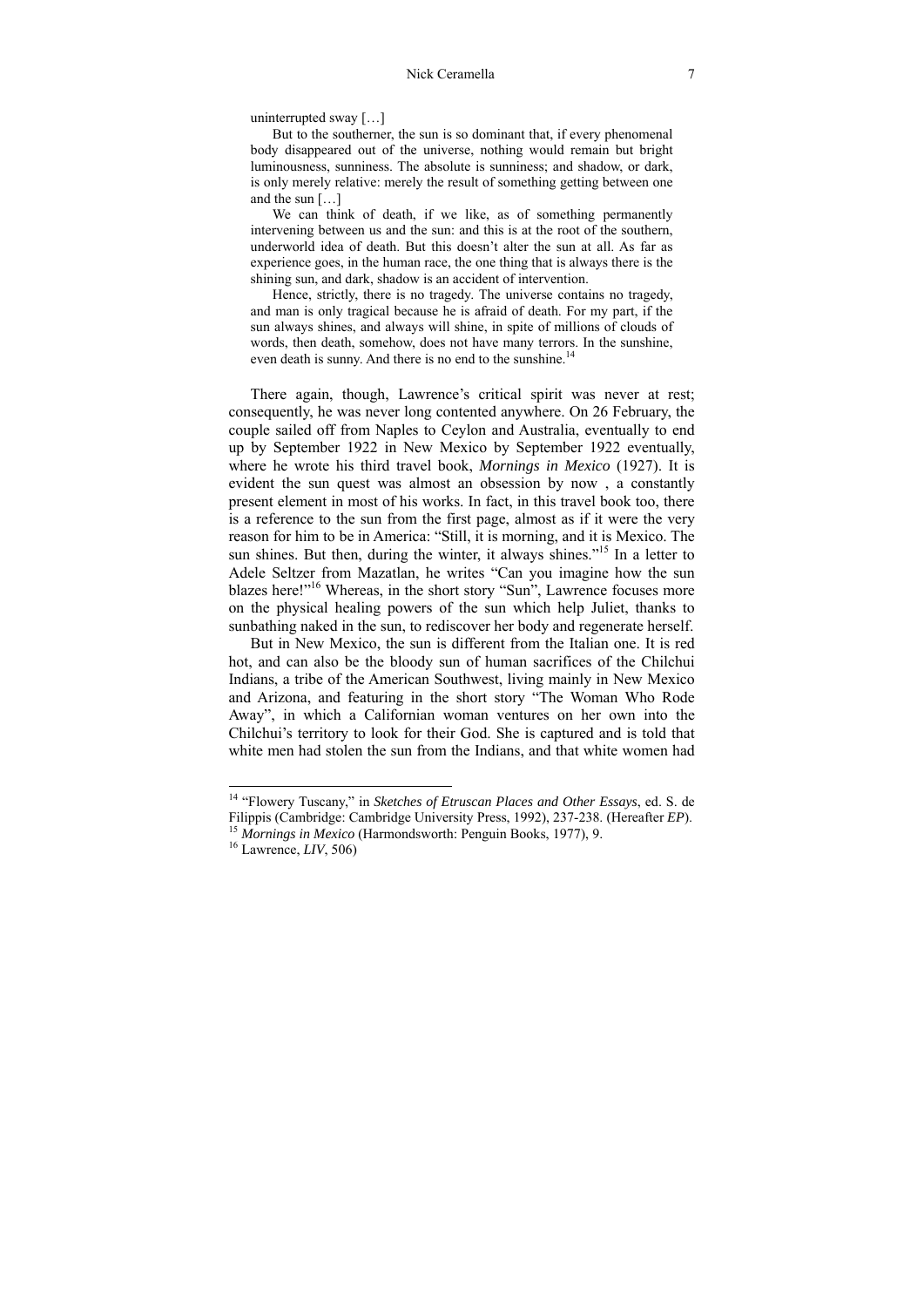uninterrupted sway […]

But to the southerner, the sun is so dominant that, if every phenomenal body disappeared out of the universe, nothing would remain but bright luminousness, sunniness. The absolute is sunniness; and shadow, or dark, is only merely relative: merely the result of something getting between one and the sun […]

We can think of death, if we like, as of something permanently intervening between us and the sun: and this is at the root of the southern, underworld idea of death. But this doesn't alter the sun at all. As far as experience goes, in the human race, the one thing that is always there is the shining sun, and dark, shadow is an accident of intervention.

Hence, strictly, there is no tragedy. The universe contains no tragedy, and man is only tragical because he is afraid of death. For my part, if the sun always shines, and always will shine, in spite of millions of clouds of words, then death, somehow, does not have many terrors. In the sunshine, even death is sunny. And there is no end to the sunshine.<sup>14</sup>

There again, though, Lawrence's critical spirit was never at rest; consequently, he was never long contented anywhere. On 26 February, the couple sailed off from Naples to Ceylon and Australia, eventually to end up by September 1922 in New Mexico by September 1922 eventually, where he wrote his third travel book, *Mornings in Mexico* (1927). It is evident the sun quest was almost an obsession by now , a constantly present element in most of his works. In fact, in this travel book too, there is a reference to the sun from the first page, almost as if it were the very reason for him to be in America: "Still, it is morning, and it is Mexico. The sun shines. But then, during the winter, it always shines.<sup>"15</sup> In a letter to Adele Seltzer from Mazatlan, he writes "Can you imagine how the sun blazes here!"<sup>16</sup> Whereas, in the short story "Sun", Lawrence focuses more on the physical healing powers of the sun which help Juliet, thanks to sunbathing naked in the sun, to rediscover her body and regenerate herself.

But in New Mexico, the sun is different from the Italian one. It is red hot, and can also be the bloody sun of human sacrifices of the Chilchui Indians, a tribe of the American Southwest, living mainly in New Mexico and Arizona, and featuring in the short story "The Woman Who Rode Away", in which a Californian woman ventures on her own into the Chilchui's territory to look for their God. She is captured and is told that white men had stolen the sun from the Indians, and that white women had

-

<sup>14 &</sup>quot;Flowery Tuscany," in *Sketches of Etruscan Places and Other Essays*, ed. S. de Filippis (Cambridge: Cambridge University Press, 1992), 237-238. (Hereafter *EP*). 15 *Mornings in Mexico* (Harmondsworth: Penguin Books, 1977), 9. 16 Lawrence, *LIV*, 506)